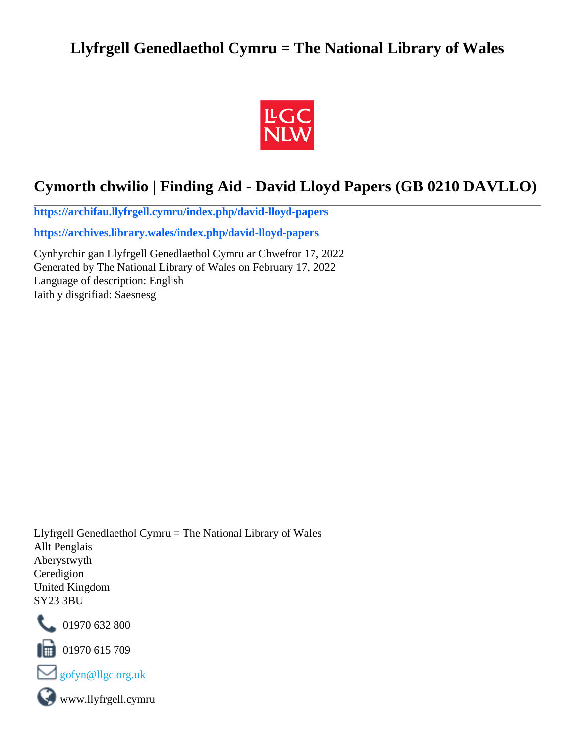# **Llyfrgell Genedlaethol Cymru = The National Library of Wales**



# **Cymorth chwilio | Finding Aid - David Lloyd Papers (GB 0210 DAVLLO)**

**[https://archifau.llyfrgell.cymru/index.php/david-lloyd-papers](https://archifau.llyfrgell.cymru/index.php/david-lloyd-papers;isad?sf_culture=cy)**

**[https://archives.library.wales/index.php/david-lloyd-papers](https://archives.library.wales/index.php/david-lloyd-papers;isad?sf_culture=en)**

Cynhyrchir gan Llyfrgell Genedlaethol Cymru ar Chwefror 17, 2022 Generated by The National Library of Wales on February 17, 2022 Language of description: English Iaith y disgrifiad: Saesnesg

Llyfrgell Genedlaethol Cymru = The National Library of Wales Allt Penglais Aberystwyth Ceredigion United Kingdom SY23 3BU



101970 632 800

 $\blacksquare$  01970 615 709



www.llyfrgell.cymru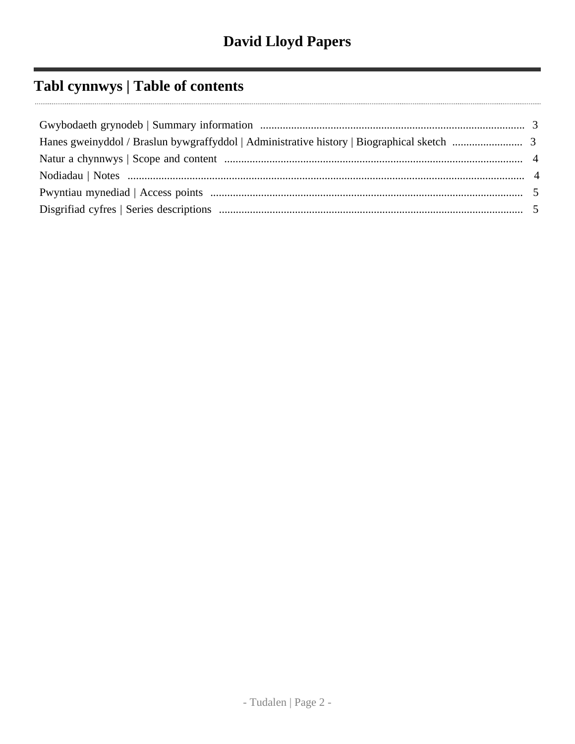# **Tabl cynnwys | Table of contents**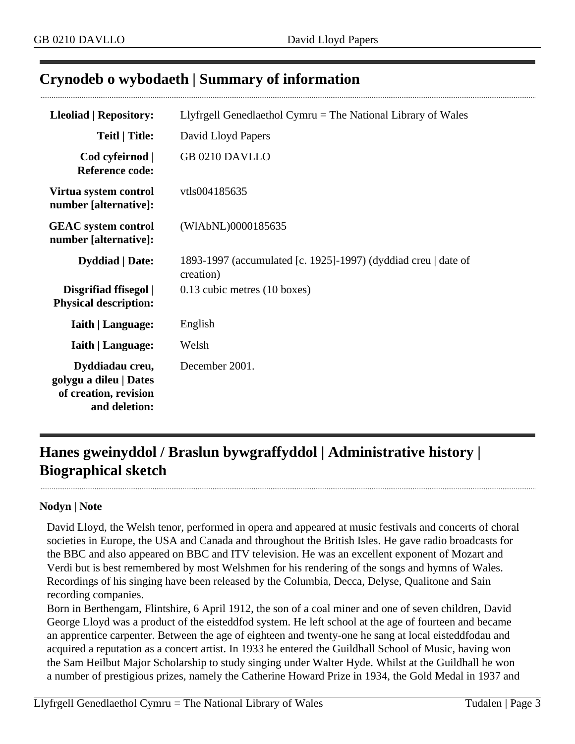## <span id="page-2-0"></span>**Crynodeb o wybodaeth | Summary of information**

| <b>Lleoliad   Repository:</b>                                                       | Llyfrgell Genedlaethol Cymru $=$ The National Library of Wales              |
|-------------------------------------------------------------------------------------|-----------------------------------------------------------------------------|
| <b>Teitl   Title:</b>                                                               | David Lloyd Papers                                                          |
| Cod cyfeirnod  <br><b>Reference code:</b>                                           | GB 0210 DAVLLO                                                              |
| Virtua system control<br>number [alternative]:                                      | vtls004185635                                                               |
| <b>GEAC</b> system control<br>number [alternative]:                                 | (WIAbNL)0000185635                                                          |
| <b>Dyddiad</b>   Date:                                                              | 1893-1997 (accumulated [c. 1925]-1997) (dyddiad creu   date of<br>creation) |
| Disgrifiad ffisegol  <br><b>Physical description:</b>                               | 0.13 cubic metres (10 boxes)                                                |
| <b>Iaith   Language:</b>                                                            | English                                                                     |
| <b>Iaith   Language:</b>                                                            | Welsh                                                                       |
| Dyddiadau creu,<br>golygu a dileu   Dates<br>of creation, revision<br>and deletion: | December 2001.                                                              |

# <span id="page-2-1"></span>**Hanes gweinyddol / Braslun bywgraffyddol | Administrative history | Biographical sketch**

#### **Nodyn | Note**

David Lloyd, the Welsh tenor, performed in opera and appeared at music festivals and concerts of choral societies in Europe, the USA and Canada and throughout the British Isles. He gave radio broadcasts for the BBC and also appeared on BBC and ITV television. He was an excellent exponent of Mozart and Verdi but is best remembered by most Welshmen for his rendering of the songs and hymns of Wales. Recordings of his singing have been released by the Columbia, Decca, Delyse, Qualitone and Sain recording companies.

Born in Berthengam, Flintshire, 6 April 1912, the son of a coal miner and one of seven children, David George Lloyd was a product of the eisteddfod system. He left school at the age of fourteen and became an apprentice carpenter. Between the age of eighteen and twenty-one he sang at local eisteddfodau and acquired a reputation as a concert artist. In 1933 he entered the Guildhall School of Music, having won the Sam Heilbut Major Scholarship to study singing under Walter Hyde. Whilst at the Guildhall he won a number of prestigious prizes, namely the Catherine Howard Prize in 1934, the Gold Medal in 1937 and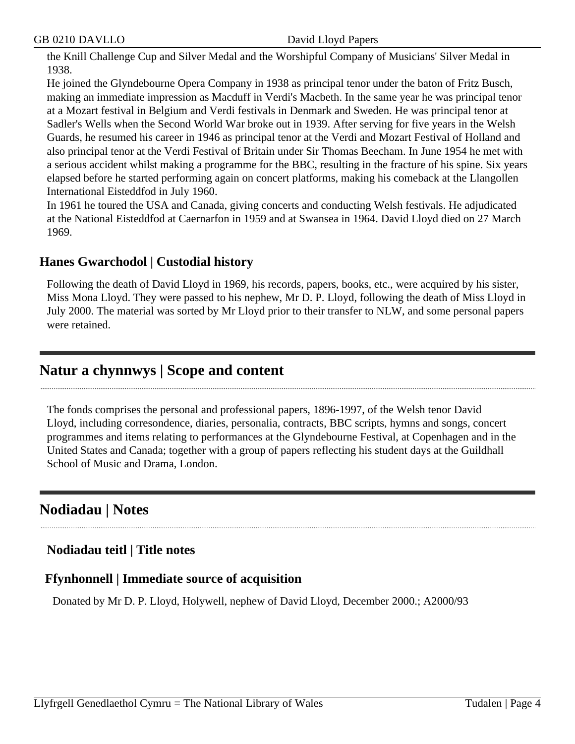the Knill Challenge Cup and Silver Medal and the Worshipful Company of Musicians' Silver Medal in 1938.

He joined the Glyndebourne Opera Company in 1938 as principal tenor under the baton of Fritz Busch, making an immediate impression as Macduff in Verdi's Macbeth. In the same year he was principal tenor at a Mozart festival in Belgium and Verdi festivals in Denmark and Sweden. He was principal tenor at Sadler's Wells when the Second World War broke out in 1939. After serving for five years in the Welsh Guards, he resumed his career in 1946 as principal tenor at the Verdi and Mozart Festival of Holland and also principal tenor at the Verdi Festival of Britain under Sir Thomas Beecham. In June 1954 he met with a serious accident whilst making a programme for the BBC, resulting in the fracture of his spine. Six years elapsed before he started performing again on concert platforms, making his comeback at the Llangollen International Eisteddfod in July 1960.

In 1961 he toured the USA and Canada, giving concerts and conducting Welsh festivals. He adjudicated at the National Eisteddfod at Caernarfon in 1959 and at Swansea in 1964. David Lloyd died on 27 March 1969.

## **Hanes Gwarchodol | Custodial history**

Following the death of David Lloyd in 1969, his records, papers, books, etc., were acquired by his sister, Miss Mona Lloyd. They were passed to his nephew, Mr D. P. Lloyd, following the death of Miss Lloyd in July 2000. The material was sorted by Mr Lloyd prior to their transfer to NLW, and some personal papers were retained.

## <span id="page-3-0"></span>**Natur a chynnwys | Scope and content**

The fonds comprises the personal and professional papers, 1896-1997, of the Welsh tenor David Lloyd, including corresondence, diaries, personalia, contracts, BBC scripts, hymns and songs, concert programmes and items relating to performances at the Glyndebourne Festival, at Copenhagen and in the United States and Canada; together with a group of papers reflecting his student days at the Guildhall School of Music and Drama, London.

## <span id="page-3-1"></span>**Nodiadau | Notes**

## **Nodiadau teitl | Title notes**

## **Ffynhonnell | Immediate source of acquisition**

Donated by Mr D. P. Lloyd, Holywell, nephew of David Lloyd, December 2000.; A2000/93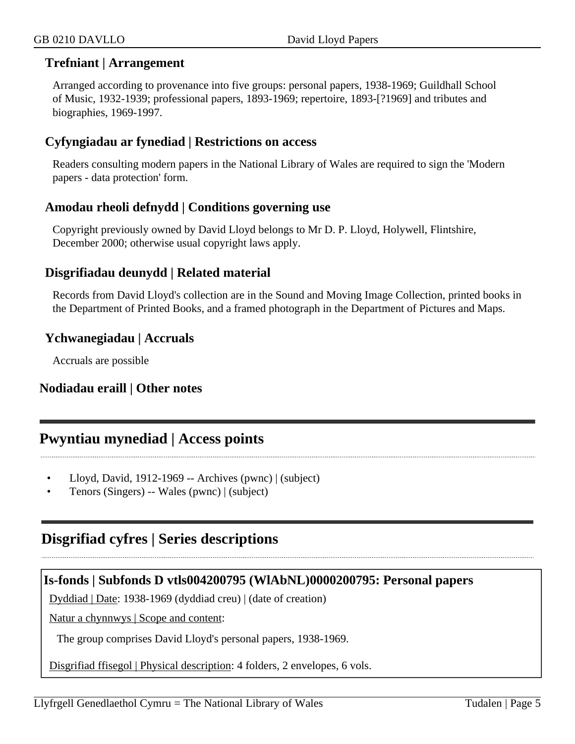## **Trefniant | Arrangement**

Arranged according to provenance into five groups: personal papers, 1938-1969; Guildhall School of Music, 1932-1939; professional papers, 1893-1969; repertoire, 1893-[?1969] and tributes and biographies, 1969-1997.

## **Cyfyngiadau ar fynediad | Restrictions on access**

Readers consulting modern papers in the National Library of Wales are required to sign the 'Modern papers - data protection' form.

## **Amodau rheoli defnydd | Conditions governing use**

Copyright previously owned by David Lloyd belongs to Mr D. P. Lloyd, Holywell, Flintshire, December 2000; otherwise usual copyright laws apply.

## **Disgrifiadau deunydd | Related material**

Records from David Lloyd's collection are in the Sound and Moving Image Collection, printed books in the Department of Printed Books, and a framed photograph in the Department of Pictures and Maps.

## **Ychwanegiadau | Accruals**

Accruals are possible

## **Nodiadau eraill | Other notes**

## <span id="page-4-0"></span>**Pwyntiau mynediad | Access points**

- Lloyd, David, 1912-1969 -- Archives (pwnc) | (subject)
- Tenors (Singers) -- Wales (pwnc) | (subject)

## <span id="page-4-1"></span>**Disgrifiad cyfres | Series descriptions**

## **Is-fonds | Subfonds D vtls004200795 (WlAbNL)0000200795: Personal papers**

Dyddiad | Date: 1938-1969 (dyddiad creu) | (date of creation)

Natur a chynnwys | Scope and content:

The group comprises David Lloyd's personal papers, 1938-1969.

Disgrifiad ffisegol | Physical description: 4 folders, 2 envelopes, 6 vols.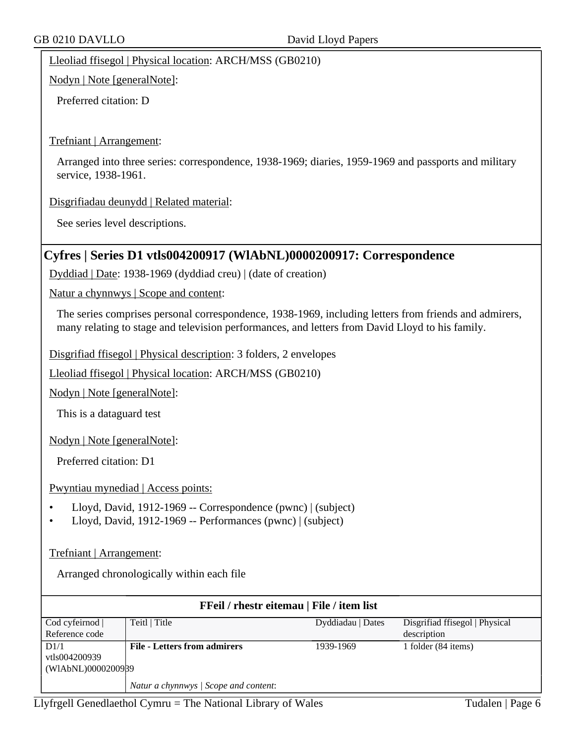Lleoliad ffisegol | Physical location: ARCH/MSS (GB0210)

Nodyn | Note [generalNote]:

Preferred citation: D

Trefniant | Arrangement:

Arranged into three series: correspondence, 1938-1969; diaries, 1959-1969 and passports and military service, 1938-1961.

Disgrifiadau deunydd | Related material:

See series level descriptions.

### **Cyfres | Series D1 vtls004200917 (WlAbNL)0000200917: Correspondence**

Dyddiad | Date: 1938-1969 (dyddiad creu) | (date of creation)

Natur a chynnwys | Scope and content:

The series comprises personal correspondence, 1938-1969, including letters from friends and admirers, many relating to stage and television performances, and letters from David Lloyd to his family.

Disgrifiad ffisegol | Physical description: 3 folders, 2 envelopes

Lleoliad ffisegol | Physical location: ARCH/MSS (GB0210)

Nodyn | Note [generalNote]:

This is a dataguard test

Nodyn | Note [generalNote]:

Preferred citation: D1

Pwyntiau mynediad | Access points:

- Lloyd, David, 1912-1969 -- Correspondence (pwnc) | (subject)
- Lloyd, David, 1912-1969 -- Performances (pwnc) | (subject)

Trefniant | Arrangement:

Arranged chronologically within each file

| <b>FFeil</b> / rhestr eitemau   File / item list |                                       |                   |                                |
|--------------------------------------------------|---------------------------------------|-------------------|--------------------------------|
| Cod cyfeirnod                                    | Teitl   Title                         | Dyddiadau   Dates | Disgrifiad ffisegol   Physical |
| Reference code                                   |                                       |                   | description                    |
| D1/1                                             | <b>File - Letters from admirers</b>   | 1939-1969         | 1 folder (84 items)            |
| vtls004200939                                    |                                       |                   |                                |
| (WIAbNL)0000200989                               |                                       |                   |                                |
|                                                  | Natur a chynnwys / Scope and content: |                   |                                |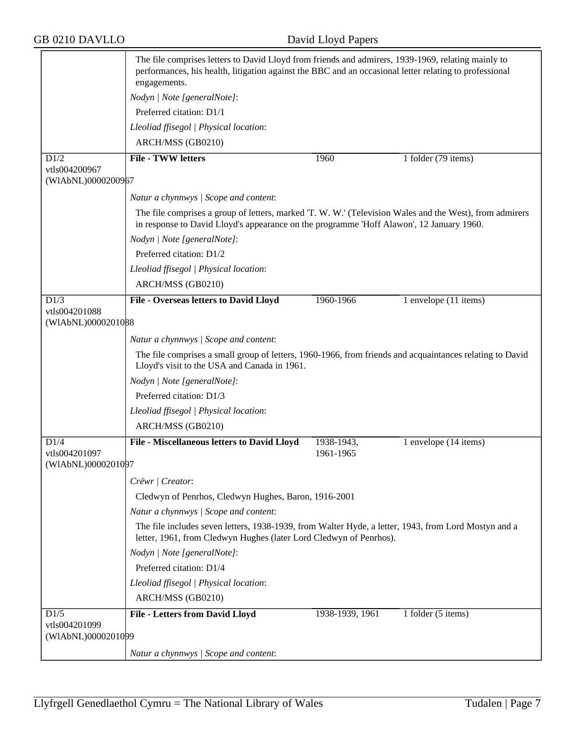|                                     | The file comprises letters to David Lloyd from friends and admirers, 1939-1969, relating mainly to<br>performances, his health, litigation against the BBC and an occasional letter relating to professional<br>engagements. |                         |                       |
|-------------------------------------|------------------------------------------------------------------------------------------------------------------------------------------------------------------------------------------------------------------------------|-------------------------|-----------------------|
|                                     | Nodyn   Note [generalNote]:                                                                                                                                                                                                  |                         |                       |
|                                     | Preferred citation: D1/1                                                                                                                                                                                                     |                         |                       |
|                                     | Lleoliad ffisegol   Physical location:                                                                                                                                                                                       |                         |                       |
|                                     | ARCH/MSS (GB0210)                                                                                                                                                                                                            |                         |                       |
| D1/2                                | <b>File - TWW letters</b>                                                                                                                                                                                                    | 1960                    | 1 folder (79 items)   |
| vtls004200967<br>(WIAbNL)0000200967 |                                                                                                                                                                                                                              |                         |                       |
|                                     | Natur a chynnwys / Scope and content:                                                                                                                                                                                        |                         |                       |
|                                     | The file comprises a group of letters, marked 'T. W. W.' (Television Wales and the West), from admirers<br>in response to David Lloyd's appearance on the programme 'Hoff Alawon', 12 January 1960.                          |                         |                       |
|                                     | Nodyn   Note [generalNote]:                                                                                                                                                                                                  |                         |                       |
|                                     | Preferred citation: D1/2                                                                                                                                                                                                     |                         |                       |
|                                     | Lleoliad ffisegol   Physical location:                                                                                                                                                                                       |                         |                       |
|                                     | ARCH/MSS (GB0210)                                                                                                                                                                                                            |                         |                       |
| D1/3                                | File - Overseas letters to David Lloyd                                                                                                                                                                                       | 1960-1966               | 1 envelope (11 items) |
| vtls004201088<br>(WIAbNL)0000201088 |                                                                                                                                                                                                                              |                         |                       |
|                                     | Natur a chynnwys / Scope and content:                                                                                                                                                                                        |                         |                       |
|                                     | The file comprises a small group of letters, 1960-1966, from friends and acquaintances relating to David<br>Lloyd's visit to the USA and Canada in 1961.                                                                     |                         |                       |
|                                     | Nodyn   Note [generalNote]:                                                                                                                                                                                                  |                         |                       |
|                                     | Preferred citation: D1/3                                                                                                                                                                                                     |                         |                       |
|                                     | Lleoliad ffisegol   Physical location:                                                                                                                                                                                       |                         |                       |
|                                     | ARCH/MSS (GB0210)                                                                                                                                                                                                            |                         |                       |
| D1/4<br>vtls004201097               | File - Miscellaneous letters to David Lloyd                                                                                                                                                                                  | 1938-1943,<br>1961-1965 | 1 envelope (14 items) |
| (WIAbNL)0000201097                  |                                                                                                                                                                                                                              |                         |                       |
|                                     | Crëwr   Creator:                                                                                                                                                                                                             |                         |                       |
|                                     | Cledwyn of Penrhos, Cledwyn Hughes, Baron, 1916-2001                                                                                                                                                                         |                         |                       |
|                                     | Natur a chynnwys / Scope and content:                                                                                                                                                                                        |                         |                       |
|                                     | The file includes seven letters, 1938-1939, from Walter Hyde, a letter, 1943, from Lord Mostyn and a<br>letter, 1961, from Cledwyn Hughes (later Lord Cledwyn of Penrhos).                                                   |                         |                       |
|                                     | Nodyn   Note [generalNote]:                                                                                                                                                                                                  |                         |                       |
|                                     | Preferred citation: D1/4                                                                                                                                                                                                     |                         |                       |
|                                     | Lleoliad ffisegol   Physical location:                                                                                                                                                                                       |                         |                       |
|                                     | ARCH/MSS (GB0210)                                                                                                                                                                                                            |                         |                       |
| D1/5                                | <b>File - Letters from David Lloyd</b>                                                                                                                                                                                       | 1938-1939, 1961         | 1 folder (5 items)    |
| vtls004201099<br>(WIAbNL)0000201099 |                                                                                                                                                                                                                              |                         |                       |
|                                     | Natur a chynnwys / Scope and content:                                                                                                                                                                                        |                         |                       |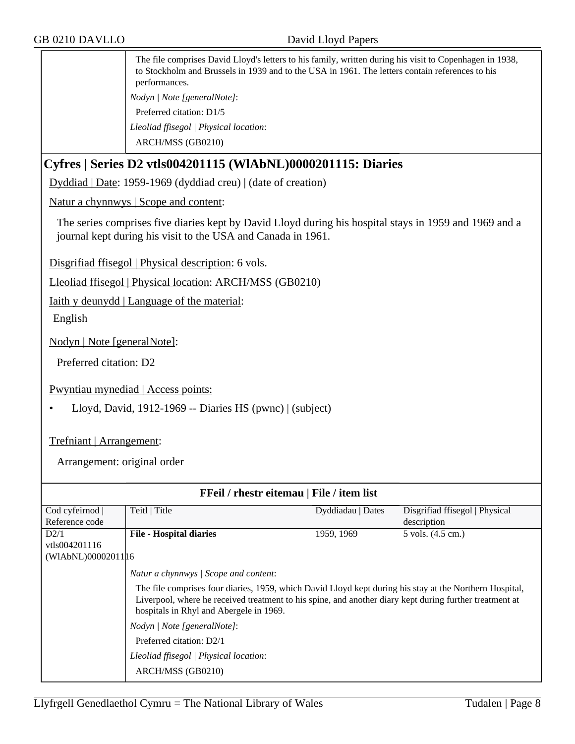The file comprises David Lloyd's letters to his family, written during his visit to Copenhagen in 1938, to Stockholm and Brussels in 1939 and to the USA in 1961. The letters contain references to his performances. *Nodyn | Note [generalNote]*: Preferred citation: D1/5 *Lleoliad ffisegol | Physical location*: ARCH/MSS (GB0210)

## **Cyfres | Series D2 vtls004201115 (WlAbNL)0000201115: Diaries**

Dyddiad | Date: 1959-1969 (dyddiad creu) | (date of creation)

Natur a chynnwys | Scope and content:

The series comprises five diaries kept by David Lloyd during his hospital stays in 1959 and 1969 and a journal kept during his visit to the USA and Canada in 1961.

Disgrifiad ffisegol | Physical description: 6 vols.

Lleoliad ffisegol | Physical location: ARCH/MSS (GB0210)

Iaith y deunydd | Language of the material:

English

Nodyn | Note [generalNote]:

Preferred citation: D2

Pwyntiau mynediad | Access points:

• Lloyd, David, 1912-1969 -- Diaries HS (pwnc) | (subject)

#### Trefniant | Arrangement:

Arrangement: original order

| FFeil / rhestr eitemau   File / item list |                                                                                                                                                                                                                                                               |                   |                                |
|-------------------------------------------|---------------------------------------------------------------------------------------------------------------------------------------------------------------------------------------------------------------------------------------------------------------|-------------------|--------------------------------|
| Cod cyfeirnod                             | Teitl   Title                                                                                                                                                                                                                                                 | Dyddiadau   Dates | Disgrifiad ffisegol   Physical |
| Reference code                            |                                                                                                                                                                                                                                                               |                   | description                    |
| D2/1                                      | <b>File - Hospital diaries</b>                                                                                                                                                                                                                                | 1959, 1969        | 5 vols. (4.5 cm.)              |
| vtls004201116                             |                                                                                                                                                                                                                                                               |                   |                                |
| (WIAbNL)00002011 16                       |                                                                                                                                                                                                                                                               |                   |                                |
|                                           | Natur a chynnwys   Scope and content:                                                                                                                                                                                                                         |                   |                                |
|                                           | The file comprises four diaries, 1959, which David Lloyd kept during his stay at the Northern Hospital,<br>Liverpool, where he received treatment to his spine, and another diary kept during further treatment at<br>hospitals in Rhyl and Abergele in 1969. |                   |                                |
|                                           | Nodyn / Note [generalNote]:                                                                                                                                                                                                                                   |                   |                                |
|                                           | Preferred citation: D2/1                                                                                                                                                                                                                                      |                   |                                |
|                                           | Lleoliad ffisegol   Physical location:                                                                                                                                                                                                                        |                   |                                |
|                                           | ARCH/MSS (GB0210)                                                                                                                                                                                                                                             |                   |                                |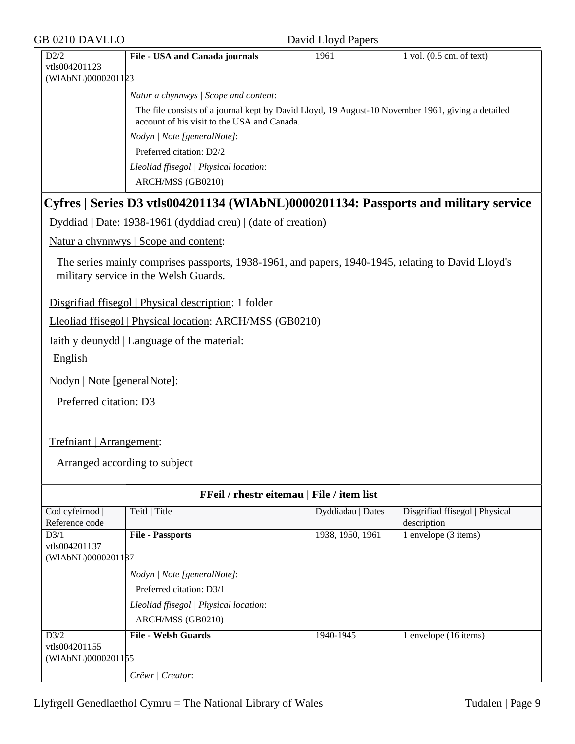| <b>GB 0210 DAVLLO</b>               | David Lloyd Papers                                                                                                                               |                   |                                               |  |
|-------------------------------------|--------------------------------------------------------------------------------------------------------------------------------------------------|-------------------|-----------------------------------------------|--|
| D2/2<br>vtls004201123               | File - USA and Canada journals                                                                                                                   | 1961              | $1$ vol. $(0.5$ cm. of text)                  |  |
| (WIAbNL)0000201123                  |                                                                                                                                                  |                   |                                               |  |
|                                     | Natur a chynnwys / Scope and content:                                                                                                            |                   |                                               |  |
|                                     | The file consists of a journal kept by David Lloyd, 19 August-10 November 1961, giving a detailed<br>account of his visit to the USA and Canada. |                   |                                               |  |
|                                     | Nodyn   Note [generalNote]:                                                                                                                      |                   |                                               |  |
|                                     | Preferred citation: D2/2                                                                                                                         |                   |                                               |  |
|                                     | Lleoliad ffisegol   Physical location:                                                                                                           |                   |                                               |  |
|                                     | ARCH/MSS (GB0210)                                                                                                                                |                   |                                               |  |
|                                     | Cyfres   Series D3 vtls004201134 (WIAbNL)0000201134: Passports and military service                                                              |                   |                                               |  |
|                                     | Dyddiad   Date: 1938-1961 (dyddiad creu)   (date of creation)                                                                                    |                   |                                               |  |
|                                     | Natur a chynnwys   Scope and content:                                                                                                            |                   |                                               |  |
|                                     | The series mainly comprises passports, 1938-1961, and papers, 1940-1945, relating to David Lloyd's<br>military service in the Welsh Guards.      |                   |                                               |  |
|                                     | Disgrifiad ffisegol   Physical description: 1 folder                                                                                             |                   |                                               |  |
|                                     | Lleoliad ffisegol   Physical location: ARCH/MSS (GB0210)                                                                                         |                   |                                               |  |
|                                     | <u>Iaith y deunydd</u>   Language of the material:                                                                                               |                   |                                               |  |
| English                             |                                                                                                                                                  |                   |                                               |  |
| Nodyn   Note [generalNote]:         |                                                                                                                                                  |                   |                                               |  |
| Preferred citation: D3              |                                                                                                                                                  |                   |                                               |  |
| Trefniant   Arrangement:            |                                                                                                                                                  |                   |                                               |  |
|                                     |                                                                                                                                                  |                   |                                               |  |
| Arranged according to subject       |                                                                                                                                                  |                   |                                               |  |
|                                     | FFeil / rhestr eitemau   File / item list                                                                                                        |                   |                                               |  |
| Cod cyfeirnod  <br>Reference code   | Teitl   Title                                                                                                                                    | Dyddiadau   Dates | Disgrifiad ffisegol   Physical<br>description |  |
| D3/1                                | <b>File - Passports</b>                                                                                                                          | 1938, 1950, 1961  | 1 envelope (3 items)                          |  |
| vtls004201137<br>(WIAbNL)0000201187 |                                                                                                                                                  |                   |                                               |  |
|                                     | Nodyn   Note [generalNote]:                                                                                                                      |                   |                                               |  |
|                                     | Preferred citation: D3/1                                                                                                                         |                   |                                               |  |
|                                     | Lleoliad ffisegol   Physical location:                                                                                                           |                   |                                               |  |
|                                     | ARCH/MSS (GB0210)                                                                                                                                |                   |                                               |  |
| D3/2                                | <b>File - Welsh Guards</b>                                                                                                                       | 1940-1945         | 1 envelope (16 items)                         |  |
| vtls004201155<br>(WIAbNL)0000201155 |                                                                                                                                                  |                   |                                               |  |
|                                     | Crëwr   Creator:                                                                                                                                 |                   |                                               |  |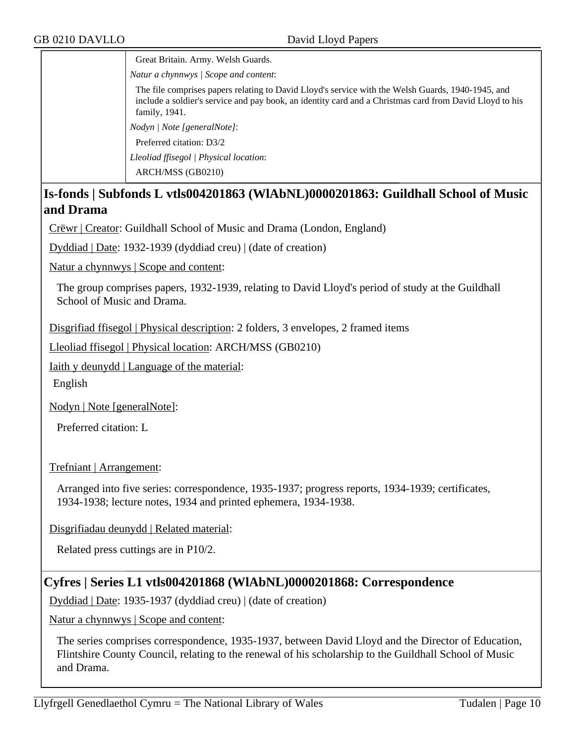Great Britain. Army. Welsh Guards. *Natur a chynnwys | Scope and content*:

The file comprises papers relating to David Lloyd's service with the Welsh Guards, 1940-1945, and include a soldier's service and pay book, an identity card and a Christmas card from David Lloyd to his family, 1941.

*Nodyn | Note [generalNote]*:

Preferred citation: D3/2

*Lleoliad ffisegol | Physical location*:

ARCH/MSS (GB0210)

## **Is-fonds | Subfonds L vtls004201863 (WlAbNL)0000201863: Guildhall School of Music and Drama**

Crëwr | Creator: Guildhall School of Music and Drama (London, England)

Dyddiad | Date: 1932-1939 (dyddiad creu) | (date of creation)

Natur a chynnwys | Scope and content:

The group comprises papers, 1932-1939, relating to David Lloyd's period of study at the Guildhall School of Music and Drama.

Disgrifiad ffisegol | Physical description: 2 folders, 3 envelopes, 2 framed items

Lleoliad ffisegol | Physical location: ARCH/MSS (GB0210)

Iaith y deunydd | Language of the material:

English

Nodyn | Note [generalNote]:

Preferred citation: L

Trefniant | Arrangement:

Arranged into five series: correspondence, 1935-1937; progress reports, 1934-1939; certificates, 1934-1938; lecture notes, 1934 and printed ephemera, 1934-1938.

Disgrifiadau deunydd | Related material:

Related press cuttings are in P10/2.

## **Cyfres | Series L1 vtls004201868 (WlAbNL)0000201868: Correspondence**

Dyddiad | Date: 1935-1937 (dyddiad creu) | (date of creation)

Natur a chynnwys | Scope and content:

The series comprises correspondence, 1935-1937, between David Lloyd and the Director of Education, Flintshire County Council, relating to the renewal of his scholarship to the Guildhall School of Music and Drama.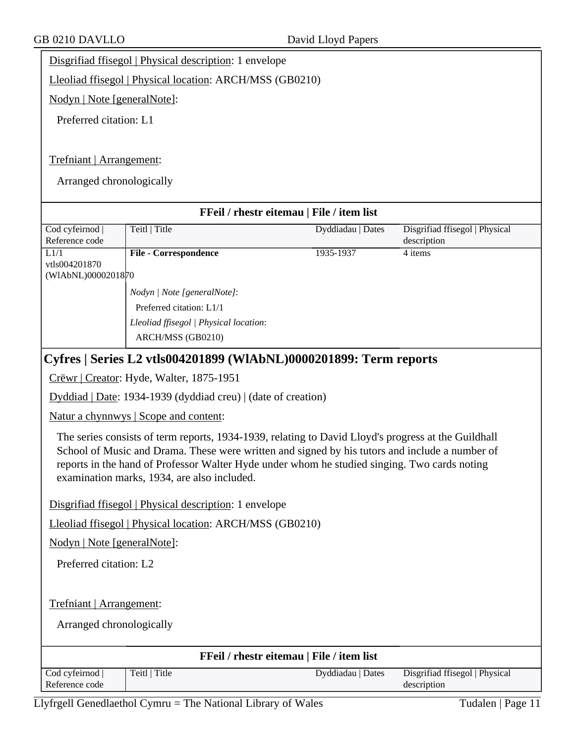Disgrifiad ffisegol | Physical description: 1 envelope

Lleoliad ffisegol | Physical location: ARCH/MSS (GB0210)

Nodyn | Note [generalNote]:

Preferred citation: L1

#### Trefniant | Arrangement:

Arranged chronologically

| FFeil / rhestr eitemau   File / item list                                                                                                                                                                                                                                                                                                            |                                                                   |                   |                                               |  |  |
|------------------------------------------------------------------------------------------------------------------------------------------------------------------------------------------------------------------------------------------------------------------------------------------------------------------------------------------------------|-------------------------------------------------------------------|-------------------|-----------------------------------------------|--|--|
| Cod cyfeirnod<br>Reference code                                                                                                                                                                                                                                                                                                                      | Teitl   Title                                                     | Dyddiadau   Dates | Disgrifiad ffisegol   Physical<br>description |  |  |
| L1/1                                                                                                                                                                                                                                                                                                                                                 | <b>File - Correspondence</b>                                      | 1935-1937         | 4 items                                       |  |  |
| vtls004201870                                                                                                                                                                                                                                                                                                                                        |                                                                   |                   |                                               |  |  |
| (WIAbNL)0000201870                                                                                                                                                                                                                                                                                                                                   |                                                                   |                   |                                               |  |  |
|                                                                                                                                                                                                                                                                                                                                                      | Nodyn   Note [generalNote]:                                       |                   |                                               |  |  |
|                                                                                                                                                                                                                                                                                                                                                      | Preferred citation: L1/1                                          |                   |                                               |  |  |
|                                                                                                                                                                                                                                                                                                                                                      | Lleoliad ffisegol   Physical location:                            |                   |                                               |  |  |
|                                                                                                                                                                                                                                                                                                                                                      | ARCH/MSS (GB0210)                                                 |                   |                                               |  |  |
|                                                                                                                                                                                                                                                                                                                                                      | Cyfres   Series L2 vtls004201899 (WlAbNL)0000201899: Term reports |                   |                                               |  |  |
|                                                                                                                                                                                                                                                                                                                                                      | Crëwr   Creator: Hyde, Walter, 1875-1951                          |                   |                                               |  |  |
|                                                                                                                                                                                                                                                                                                                                                      | Dyddiad   Date: 1934-1939 (dyddiad creu)   (date of creation)     |                   |                                               |  |  |
|                                                                                                                                                                                                                                                                                                                                                      | Natur a chynnwys   Scope and content:                             |                   |                                               |  |  |
| The series consists of term reports, 1934-1939, relating to David Lloyd's progress at the Guildhall<br>School of Music and Drama. These were written and signed by his tutors and include a number of<br>reports in the hand of Professor Walter Hyde under whom he studied singing. Two cards noting<br>examination marks, 1934, are also included. |                                                                   |                   |                                               |  |  |
|                                                                                                                                                                                                                                                                                                                                                      | Disgrifiad ffisegol   Physical description: 1 envelope            |                   |                                               |  |  |
|                                                                                                                                                                                                                                                                                                                                                      | Lleoliad ffisegol   Physical location: ARCH/MSS (GB0210)          |                   |                                               |  |  |
| Nodyn   Note [generalNote]:                                                                                                                                                                                                                                                                                                                          |                                                                   |                   |                                               |  |  |
| Preferred citation: L2                                                                                                                                                                                                                                                                                                                               |                                                                   |                   |                                               |  |  |
|                                                                                                                                                                                                                                                                                                                                                      |                                                                   |                   |                                               |  |  |
|                                                                                                                                                                                                                                                                                                                                                      | Trefniant   Arrangement:                                          |                   |                                               |  |  |
|                                                                                                                                                                                                                                                                                                                                                      | Arranged chronologically                                          |                   |                                               |  |  |
|                                                                                                                                                                                                                                                                                                                                                      | FFeil / rhestr eitemau   File / item list                         |                   |                                               |  |  |
| Cod cyfeirnod<br>Reference code                                                                                                                                                                                                                                                                                                                      | Teitl   Title                                                     | Dyddiadau   Dates | Disgrifiad ffisegol   Physical<br>description |  |  |

Llyfrgell Genedlaethol Cymru = The National Library of Wales Tudalen | Page 11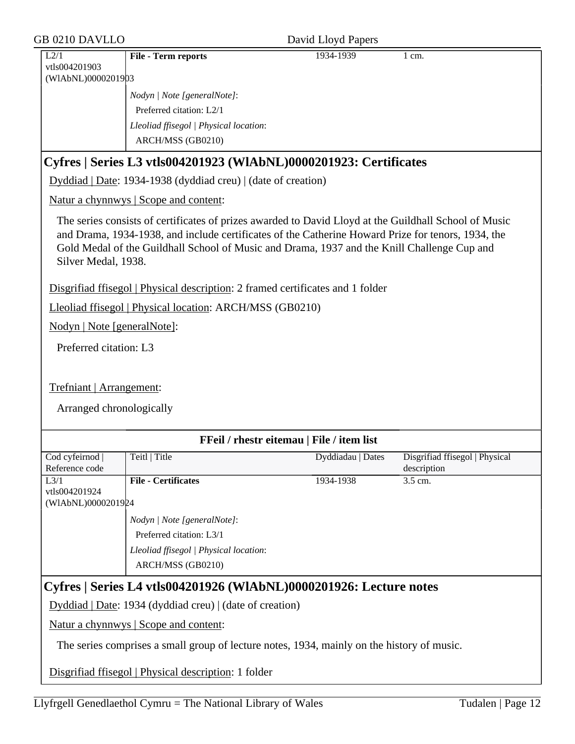| <b>GB 0210 DAVLLO</b>                                |                                                                                                                                                                                                                                                                                                            | David Lloyd Papers                        |                                               |
|------------------------------------------------------|------------------------------------------------------------------------------------------------------------------------------------------------------------------------------------------------------------------------------------------------------------------------------------------------------------|-------------------------------------------|-----------------------------------------------|
| L2/1<br>vtls004201903<br>(WIAbNL)0000201903          | <b>File - Term reports</b>                                                                                                                                                                                                                                                                                 | 1934-1939                                 | $1 \text{ cm}$ .                              |
|                                                      | Nodyn   Note [generalNote]:<br>Preferred citation: L2/1<br>Lleoliad ffisegol   Physical location:                                                                                                                                                                                                          |                                           |                                               |
|                                                      | ARCH/MSS (GB0210)                                                                                                                                                                                                                                                                                          |                                           |                                               |
|                                                      | Cyfres   Series L3 vtls004201923 (WlAbNL)0000201923: Certificates                                                                                                                                                                                                                                          |                                           |                                               |
|                                                      | Dyddiad   Date: 1934-1938 (dyddiad creu)   (date of creation)                                                                                                                                                                                                                                              |                                           |                                               |
|                                                      | Natur a chynnwys   Scope and content:                                                                                                                                                                                                                                                                      |                                           |                                               |
| Silver Medal, 1938.                                  | The series consists of certificates of prizes awarded to David Lloyd at the Guildhall School of Music<br>and Drama, 1934-1938, and include certificates of the Catherine Howard Prize for tenors, 1934, the<br>Gold Medal of the Guildhall School of Music and Drama, 1937 and the Knill Challenge Cup and |                                           |                                               |
|                                                      | Disgrifiad ffisegol   Physical description: 2 framed certificates and 1 folder                                                                                                                                                                                                                             |                                           |                                               |
|                                                      | Lleoliad ffisegol   Physical location: ARCH/MSS (GB0210)                                                                                                                                                                                                                                                   |                                           |                                               |
| Nodyn   Note [generalNote]:                          |                                                                                                                                                                                                                                                                                                            |                                           |                                               |
| Preferred citation: L3                               |                                                                                                                                                                                                                                                                                                            |                                           |                                               |
| Trefniant   Arrangement:<br>Arranged chronologically |                                                                                                                                                                                                                                                                                                            |                                           |                                               |
|                                                      |                                                                                                                                                                                                                                                                                                            | FFeil / rhestr eitemau   File / item list |                                               |
| Cod cyfeirnod  <br>Reference code                    | Teitl   Title                                                                                                                                                                                                                                                                                              | Dyddiadau   Dates                         | Disgrifiad ffisegol   Physical<br>description |
| L3/1<br>vtls004201924<br>(WIAbNL)0000201924          | <b>File - Certificates</b>                                                                                                                                                                                                                                                                                 | 1934-1938                                 | $3.5$ cm.                                     |
|                                                      | Nodyn   Note [generalNote]:<br>Preferred citation: L3/1<br>Lleoliad ffisegol   Physical location:<br>ARCH/MSS (GB0210)                                                                                                                                                                                     |                                           |                                               |
|                                                      | Cyfres   Series L4 vtls004201926 (WlAbNL)0000201926: Lecture notes                                                                                                                                                                                                                                         |                                           |                                               |
|                                                      | Dyddiad   Date: 1934 (dyddiad creu)   (date of creation)                                                                                                                                                                                                                                                   |                                           |                                               |
|                                                      | Natur a chynnwys   Scope and content:                                                                                                                                                                                                                                                                      |                                           |                                               |
|                                                      | The series comprises a small group of lecture notes, 1934, mainly on the history of music.                                                                                                                                                                                                                 |                                           |                                               |
|                                                      | Disgrifiad ffisegol   Physical description: 1 folder                                                                                                                                                                                                                                                       |                                           |                                               |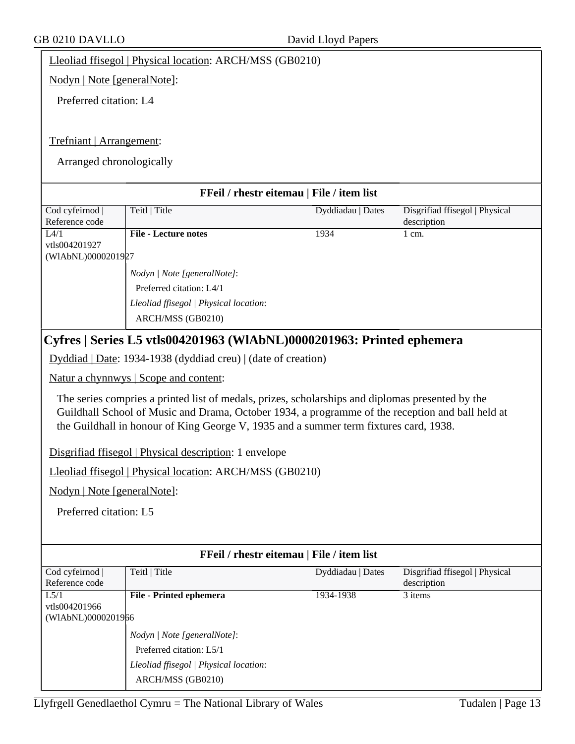Lleoliad ffisegol | Physical location: ARCH/MSS (GB0210)

Nodyn | Note [generalNote]:

Preferred citation: L4

## Trefniant | Arrangement:

Arranged chronologically

| FFeil / rhestr eitemau   File / item list |                                                                                                                                                                                                                                                                                                                                                         |                   |                                               |
|-------------------------------------------|---------------------------------------------------------------------------------------------------------------------------------------------------------------------------------------------------------------------------------------------------------------------------------------------------------------------------------------------------------|-------------------|-----------------------------------------------|
| Cod cyfeirnod                             | Teitl   Title                                                                                                                                                                                                                                                                                                                                           | Dyddiadau   Dates | Disgrifiad ffisegol   Physical                |
| Reference code                            |                                                                                                                                                                                                                                                                                                                                                         |                   | description                                   |
| L4/1                                      | <b>File - Lecture notes</b>                                                                                                                                                                                                                                                                                                                             | 1934              | $1$ cm.                                       |
| vtls004201927<br>(WIAbNL)0000201927       |                                                                                                                                                                                                                                                                                                                                                         |                   |                                               |
|                                           | Nodyn   Note [generalNote]:                                                                                                                                                                                                                                                                                                                             |                   |                                               |
|                                           | Preferred citation: L4/1                                                                                                                                                                                                                                                                                                                                |                   |                                               |
|                                           | Lleoliad ffisegol   Physical location:                                                                                                                                                                                                                                                                                                                  |                   |                                               |
|                                           | ARCH/MSS (GB0210)                                                                                                                                                                                                                                                                                                                                       |                   |                                               |
|                                           | Cyfres   Series L5 vtls004201963 (WlAbNL)0000201963: Printed ephemera                                                                                                                                                                                                                                                                                   |                   |                                               |
|                                           | Dyddiad   Date: 1934-1938 (dyddiad creu)   (date of creation)                                                                                                                                                                                                                                                                                           |                   |                                               |
|                                           | Natur a chynnwys   Scope and content:                                                                                                                                                                                                                                                                                                                   |                   |                                               |
|                                           | The series compries a printed list of medals, prizes, scholarships and diplomas presented by the<br>Guildhall School of Music and Drama, October 1934, a programme of the reception and ball held at<br>the Guildhall in honour of King George V, 1935 and a summer term fixtures card, 1938.<br>Disgrifiad ffisegol   Physical description: 1 envelope |                   |                                               |
|                                           | Lleoliad ffisegol   Physical location: ARCH/MSS (GB0210)                                                                                                                                                                                                                                                                                                |                   |                                               |
| Nodyn   Note [generalNote]:               |                                                                                                                                                                                                                                                                                                                                                         |                   |                                               |
| Preferred citation: L5                    |                                                                                                                                                                                                                                                                                                                                                         |                   |                                               |
|                                           |                                                                                                                                                                                                                                                                                                                                                         |                   |                                               |
|                                           | FFeil / rhestr eitemau   File / item list                                                                                                                                                                                                                                                                                                               |                   |                                               |
| Cod cyfeirnod<br>Reference code           | Teitl   Title                                                                                                                                                                                                                                                                                                                                           | Dyddiadau   Dates | Disgrifiad ffisegol   Physical<br>description |
| L5/1                                      | File - Printed ephemera                                                                                                                                                                                                                                                                                                                                 | 1934-1938         | $\overline{3}$ items                          |
| vtls004201966<br>(WIAbNL)0000201966       |                                                                                                                                                                                                                                                                                                                                                         |                   |                                               |
|                                           | Nodyn   Note [generalNote]:                                                                                                                                                                                                                                                                                                                             |                   |                                               |
|                                           | Preferred citation: L5/1                                                                                                                                                                                                                                                                                                                                |                   |                                               |
|                                           | Lleoliad ffisegol   Physical location:                                                                                                                                                                                                                                                                                                                  |                   |                                               |
|                                           | ARCH/MSS (GB0210)                                                                                                                                                                                                                                                                                                                                       |                   |                                               |
|                                           |                                                                                                                                                                                                                                                                                                                                                         |                   |                                               |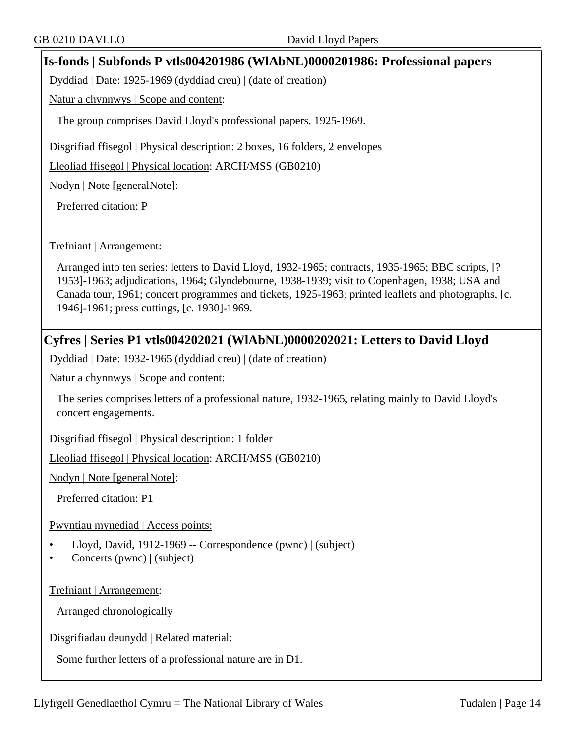## **Is-fonds | Subfonds P vtls004201986 (WlAbNL)0000201986: Professional papers**

Dyddiad | Date: 1925-1969 (dyddiad creu) | (date of creation)

Natur a chynnwys | Scope and content:

The group comprises David Lloyd's professional papers, 1925-1969.

Disgrifiad ffisegol | Physical description: 2 boxes, 16 folders, 2 envelopes

Lleoliad ffisegol | Physical location: ARCH/MSS (GB0210)

Nodyn | Note [generalNote]:

Preferred citation: P

#### Trefniant | Arrangement:

Arranged into ten series: letters to David Lloyd, 1932-1965; contracts, 1935-1965; BBC scripts, [? 1953]-1963; adjudications, 1964; Glyndebourne, 1938-1939; visit to Copenhagen, 1938; USA and Canada tour, 1961; concert programmes and tickets, 1925-1963; printed leaflets and photographs, [c. 1946]-1961; press cuttings, [c. 1930]-1969.

## **Cyfres | Series P1 vtls004202021 (WlAbNL)0000202021: Letters to David Lloyd**

Dyddiad | Date: 1932-1965 (dyddiad creu) | (date of creation)

Natur a chynnwys | Scope and content:

The series comprises letters of a professional nature, 1932-1965, relating mainly to David Lloyd's concert engagements.

Disgrifiad ffisegol | Physical description: 1 folder

Lleoliad ffisegol | Physical location: ARCH/MSS (GB0210)

Nodyn | Note [generalNote]:

Preferred citation: P1

Pwyntiau mynediad | Access points:

- Lloyd, David, 1912-1969 -- Correspondence (pwnc) | (subject)
- Concerts (pwnc) | (subject)

Trefniant | Arrangement:

Arranged chronologically

Disgrifiadau deunydd | Related material:

Some further letters of a professional nature are in D1.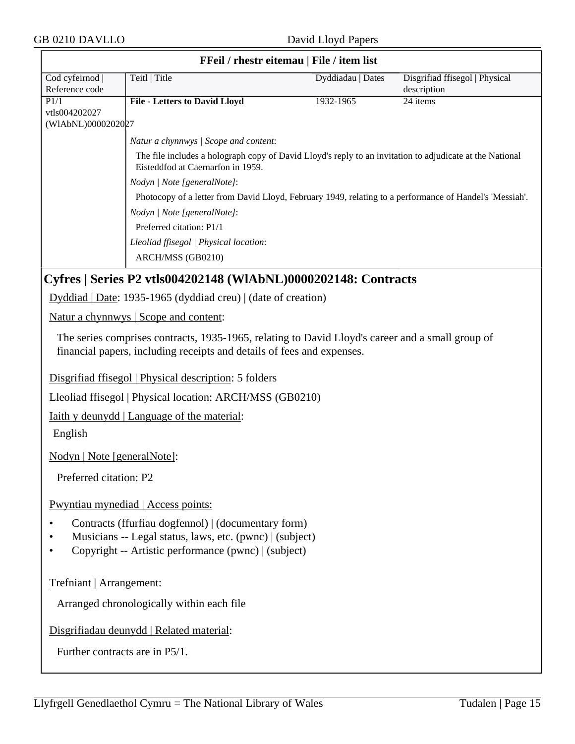| FFeil / rhestr eitemau   File / item list |                                                                                                                                               |                   |                                      |
|-------------------------------------------|-----------------------------------------------------------------------------------------------------------------------------------------------|-------------------|--------------------------------------|
| Cod cyfeirnod                             | Teitl   Title                                                                                                                                 | Dyddiadau   Dates | Disgrifiad ffisegol   Physical       |
| Reference code<br>P1/1                    | <b>File - Letters to David Lloyd</b>                                                                                                          | 1932-1965         | description<br>$\overline{24}$ items |
| vtls004202027                             |                                                                                                                                               |                   |                                      |
| (WIAbNL)0000202027                        |                                                                                                                                               |                   |                                      |
|                                           | Natur a chynnwys / Scope and content:                                                                                                         |                   |                                      |
|                                           | The file includes a holograph copy of David Lloyd's reply to an invitation to adjudicate at the National<br>Eisteddfod at Caernarfon in 1959. |                   |                                      |
|                                           | Nodyn   Note [generalNote]:                                                                                                                   |                   |                                      |
|                                           | Photocopy of a letter from David Lloyd, February 1949, relating to a performance of Handel's 'Messiah'.                                       |                   |                                      |
|                                           | Nodyn   Note [generalNote]:                                                                                                                   |                   |                                      |
|                                           | Preferred citation: P1/1                                                                                                                      |                   |                                      |
|                                           | Lleoliad ffisegol   Physical location:                                                                                                        |                   |                                      |
|                                           | ARCH/MSS (GB0210)                                                                                                                             |                   |                                      |
|                                           | Cyfres   Series P2 vtls004202148 (WlAbNL)0000202148: Contracts                                                                                |                   |                                      |
|                                           | Dyddiad   Date: 1935-1965 (dyddiad creu)   (date of creation)                                                                                 |                   |                                      |
|                                           | Natur a chynnwys   Scope and content:                                                                                                         |                   |                                      |
|                                           | The series comprises contracts, 1935-1965, relating to David Lloyd's career and a small group of                                              |                   |                                      |
|                                           | financial papers, including receipts and details of fees and expenses.                                                                        |                   |                                      |
|                                           | Disgrifiad ffisegol   Physical description: 5 folders                                                                                         |                   |                                      |
|                                           | Lleoliad ffisegol   Physical location: ARCH/MSS (GB0210)                                                                                      |                   |                                      |
|                                           |                                                                                                                                               |                   |                                      |
|                                           | <u>Iaith y deunydd</u>   Language of the material:                                                                                            |                   |                                      |
| English                                   |                                                                                                                                               |                   |                                      |
| Nodyn   Note [generalNote]:               |                                                                                                                                               |                   |                                      |
| Preferred citation: P2                    |                                                                                                                                               |                   |                                      |
|                                           | Pwyntiau mynediad   Access points:                                                                                                            |                   |                                      |
| $\bullet$                                 | Contracts (ffurfiau dogfennol)   (documentary form)                                                                                           |                   |                                      |
| ٠                                         | Musicians -- Legal status, laws, etc. (pwnc)   (subject)                                                                                      |                   |                                      |
| $\bullet$                                 | Copyright -- Artistic performance (pwnc)   (subject)                                                                                          |                   |                                      |
|                                           |                                                                                                                                               |                   |                                      |
| Trefniant   Arrangement:                  |                                                                                                                                               |                   |                                      |
|                                           | Arranged chronologically within each file                                                                                                     |                   |                                      |
|                                           | Disgrifiadau deunydd   Related material:                                                                                                      |                   |                                      |
| Further contracts are in P5/1.            |                                                                                                                                               |                   |                                      |
|                                           |                                                                                                                                               |                   |                                      |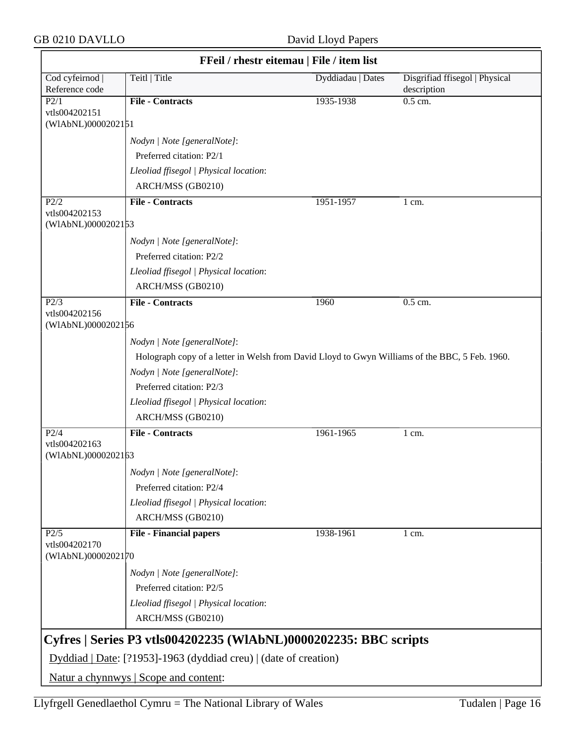GB 0210 DAVLLO David Lloyd Papers

|                                     | FFeil / rhestr eitemau   File / item list                                                      |                   |                                               |  |
|-------------------------------------|------------------------------------------------------------------------------------------------|-------------------|-----------------------------------------------|--|
| Cod cyfeirnod<br>Reference code     | Teitl   Title                                                                                  | Dyddiadau   Dates | Disgrifiad ffisegol   Physical<br>description |  |
| P2/1                                | <b>File - Contracts</b>                                                                        | 1935-1938         | $0.5$ cm.                                     |  |
| vtls004202151<br>(WIAbNL)0000202151 |                                                                                                |                   |                                               |  |
|                                     | Nodyn   Note [generalNote]:                                                                    |                   |                                               |  |
|                                     | Preferred citation: P2/1                                                                       |                   |                                               |  |
|                                     | Lleoliad ffisegol   Physical location:                                                         |                   |                                               |  |
|                                     | ARCH/MSS (GB0210)                                                                              |                   |                                               |  |
| P2/2                                | <b>File - Contracts</b>                                                                        | 1951-1957         | 1 cm.                                         |  |
| vtls004202153<br>(WIAbNL)0000202153 |                                                                                                |                   |                                               |  |
|                                     |                                                                                                |                   |                                               |  |
|                                     | Nodyn   Note [generalNote]:                                                                    |                   |                                               |  |
|                                     | Preferred citation: P2/2                                                                       |                   |                                               |  |
|                                     | Lleoliad ffisegol   Physical location:                                                         |                   |                                               |  |
|                                     | ARCH/MSS (GB0210)                                                                              |                   |                                               |  |
| P2/3<br>vtls004202156               | <b>File - Contracts</b>                                                                        | 1960              | 0.5 cm.                                       |  |
| (WIAbNL)0000202156                  |                                                                                                |                   |                                               |  |
|                                     | Nodyn   Note [generalNote]:                                                                    |                   |                                               |  |
|                                     | Holograph copy of a letter in Welsh from David Lloyd to Gwyn Williams of the BBC, 5 Feb. 1960. |                   |                                               |  |
|                                     | Nodyn   Note [generalNote]:                                                                    |                   |                                               |  |
|                                     | Preferred citation: P2/3                                                                       |                   |                                               |  |
|                                     | Lleoliad ffisegol   Physical location:                                                         |                   |                                               |  |
|                                     | ARCH/MSS (GB0210)                                                                              |                   |                                               |  |
| $P\overline{2/4}$                   | <b>File - Contracts</b>                                                                        | 1961-1965         | 1 cm.                                         |  |
| vtls004202163<br>(WIAbNL)0000202163 |                                                                                                |                   |                                               |  |
|                                     | Nodyn   Note [generalNote]:                                                                    |                   |                                               |  |
|                                     | Preferred citation: P2/4                                                                       |                   |                                               |  |
|                                     | Lleoliad ffisegol   Physical location:                                                         |                   |                                               |  |
|                                     | ARCH/MSS (GB0210)                                                                              |                   |                                               |  |
| P2/5                                | <b>File - Financial papers</b>                                                                 | 1938-1961         | $1 \text{ cm}$ .                              |  |
| vtls004202170<br>(WIAbNL)0000202170 |                                                                                                |                   |                                               |  |
|                                     | Nodyn   Note [generalNote]:                                                                    |                   |                                               |  |
|                                     | Preferred citation: P2/5                                                                       |                   |                                               |  |
|                                     | Lleoliad ffisegol   Physical location:                                                         |                   |                                               |  |
|                                     | ARCH/MSS (GB0210)                                                                              |                   |                                               |  |
|                                     | Cyfres   Series P3 vtls004202235 (WIAbNL)0000202235: BBC scripts                               |                   |                                               |  |
|                                     | Dyddiad   Date: [?1953]-1963 (dyddiad creu)   (date of creation)                               |                   |                                               |  |
|                                     | Natur a chynnwys   Scope and content:                                                          |                   |                                               |  |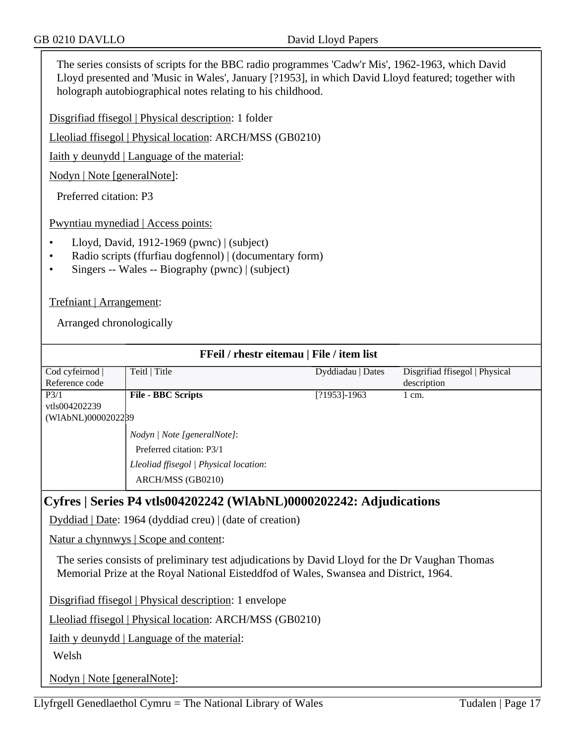The series consists of scripts for the BBC radio programmes 'Cadw'r Mis', 1962-1963, which David Lloyd presented and 'Music in Wales', January [?1953], in which David Lloyd featured; together with holograph autobiographical notes relating to his childhood.

Disgrifiad ffisegol | Physical description: 1 folder

Lleoliad ffisegol | Physical location: ARCH/MSS (GB0210)

Iaith y deunydd | Language of the material:

Nodyn | Note [generalNote]:

Preferred citation: P3

Pwyntiau mynediad | Access points:

- Lloyd, David, 1912-1969 (pwnc) | (subject)
- Radio scripts (ffurfiau dogfennol) | (documentary form)
- Singers -- Wales -- Biography (pwnc) | (subject)

Trefniant | Arrangement:

Arranged chronologically

| FFeil / rhestr eitemau   File / item list                                             |                                                                                                |                   |                                |  |  |
|---------------------------------------------------------------------------------------|------------------------------------------------------------------------------------------------|-------------------|--------------------------------|--|--|
| Cod cyfeirnod                                                                         | Teitl   Title                                                                                  | Dyddiadau   Dates | Disgrifiad ffisegol   Physical |  |  |
| Reference code                                                                        |                                                                                                |                   | description                    |  |  |
| P <sub>3/1</sub>                                                                      | <b>File - BBC Scripts</b>                                                                      | $[?1953] - 1963$  | 1 cm.                          |  |  |
| vtls004202239                                                                         |                                                                                                |                   |                                |  |  |
| (WIAbNL)00002022B9                                                                    |                                                                                                |                   |                                |  |  |
|                                                                                       | <i>Nodyn</i>   <i>Note</i> [generalNote]:                                                      |                   |                                |  |  |
|                                                                                       | Preferred citation: P3/1                                                                       |                   |                                |  |  |
|                                                                                       | Lleoliad ffisegol   Physical location:                                                         |                   |                                |  |  |
|                                                                                       | ARCH/MSS (GB0210)                                                                              |                   |                                |  |  |
|                                                                                       |                                                                                                |                   |                                |  |  |
| Cyfres   Series P4 vtls004202242 (WIAbNL)0000202242: Adjudications                    |                                                                                                |                   |                                |  |  |
| Dyddiad   Date: 1964 (dyddiad creu)   (date of creation)                              |                                                                                                |                   |                                |  |  |
| <u>Natur a chynnwys</u>   Scope and content:                                          |                                                                                                |                   |                                |  |  |
|                                                                                       | The series consists of preliminary test adjudications by David Lloyd for the Dr Vaughan Thomas |                   |                                |  |  |
| Memorial Prize at the Royal National Eisteddfod of Wales, Swansea and District, 1964. |                                                                                                |                   |                                |  |  |

Disgrifiad ffisegol | Physical description: 1 envelope

Lleoliad ffisegol | Physical location: ARCH/MSS (GB0210)

Iaith y deunydd | Language of the material:

Welsh

Nodyn | Note [generalNote]: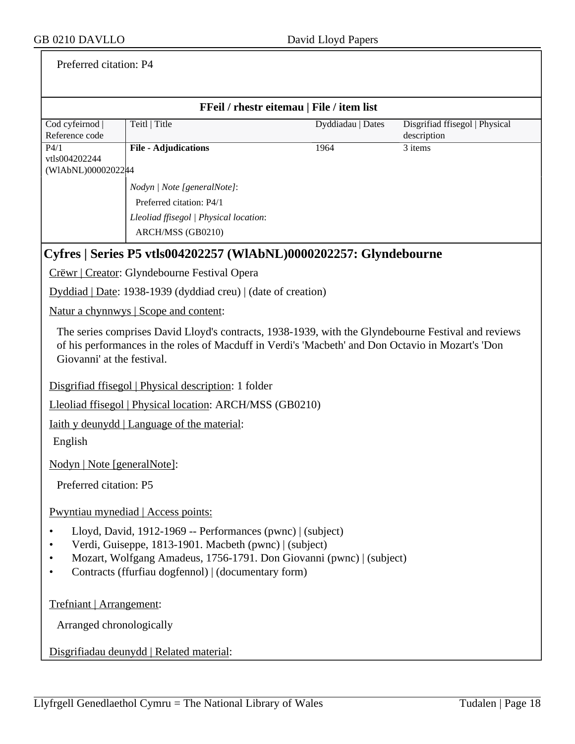## Preferred citation: P4

| FFeil / rhestr eitemau   File / item list                                                                                                                                                                                                           |                                                                   |                   |                                |  |  |
|-----------------------------------------------------------------------------------------------------------------------------------------------------------------------------------------------------------------------------------------------------|-------------------------------------------------------------------|-------------------|--------------------------------|--|--|
| Cod cyfeirnod                                                                                                                                                                                                                                       | Teitl   Title                                                     | Dyddiadau   Dates | Disgrifiad ffisegol   Physical |  |  |
| Reference code                                                                                                                                                                                                                                      |                                                                   |                   | description                    |  |  |
| P4/1<br>vtls004202244                                                                                                                                                                                                                               | <b>File - Adjudications</b>                                       | 1964              | $3$ items                      |  |  |
| (WIAbNL)0000202244                                                                                                                                                                                                                                  |                                                                   |                   |                                |  |  |
|                                                                                                                                                                                                                                                     | Nodyn   Note [generalNote]:                                       |                   |                                |  |  |
|                                                                                                                                                                                                                                                     | Preferred citation: P4/1                                          |                   |                                |  |  |
|                                                                                                                                                                                                                                                     | Lleoliad ffisegol   Physical location:                            |                   |                                |  |  |
|                                                                                                                                                                                                                                                     | ARCH/MSS (GB0210)                                                 |                   |                                |  |  |
|                                                                                                                                                                                                                                                     | Cyfres   Series P5 vtls004202257 (WIAbNL)0000202257: Glyndebourne |                   |                                |  |  |
|                                                                                                                                                                                                                                                     | Crëwr   Creator: Glyndebourne Festival Opera                      |                   |                                |  |  |
|                                                                                                                                                                                                                                                     | Dyddiad   Date: 1938-1939 (dyddiad creu)   (date of creation)     |                   |                                |  |  |
|                                                                                                                                                                                                                                                     | <u>Natur a chynnwys</u>   Scope and content:                      |                   |                                |  |  |
| The series comprises David Lloyd's contracts, 1938-1939, with the Glyndebourne Festival and reviews<br>of his performances in the roles of Macduff in Verdi's 'Macbeth' and Don Octavio in Mozart's 'Don<br>Giovanni' at the festival.              |                                                                   |                   |                                |  |  |
|                                                                                                                                                                                                                                                     | Disgrifiad ffisegol   Physical description: 1 folder              |                   |                                |  |  |
|                                                                                                                                                                                                                                                     | Lleoliad ffisegol   Physical location: ARCH/MSS (GB0210)          |                   |                                |  |  |
|                                                                                                                                                                                                                                                     | <u>Iaith y deunydd</u>   Language of the material:                |                   |                                |  |  |
| English                                                                                                                                                                                                                                             |                                                                   |                   |                                |  |  |
| Nodyn   Note [generalNote]:                                                                                                                                                                                                                         |                                                                   |                   |                                |  |  |
| Preferred citation: P5                                                                                                                                                                                                                              |                                                                   |                   |                                |  |  |
|                                                                                                                                                                                                                                                     | Pwyntiau mynediad   Access points:                                |                   |                                |  |  |
| Lloyd, David, 1912-1969 -- Performances (pwnc)   (subject)<br>Verdi, Guiseppe, 1813-1901. Macbeth (pwnc)   (subject)<br>Mozart, Wolfgang Amadeus, 1756-1791. Don Giovanni (pwnc)   (subject)<br>Contracts (ffurfiau dogfennol)   (documentary form) |                                                                   |                   |                                |  |  |
|                                                                                                                                                                                                                                                     | Trefniant   Arrangement:                                          |                   |                                |  |  |
| Arranged chronologically                                                                                                                                                                                                                            |                                                                   |                   |                                |  |  |
|                                                                                                                                                                                                                                                     | Disgrifiadau deunydd   Related material:                          |                   |                                |  |  |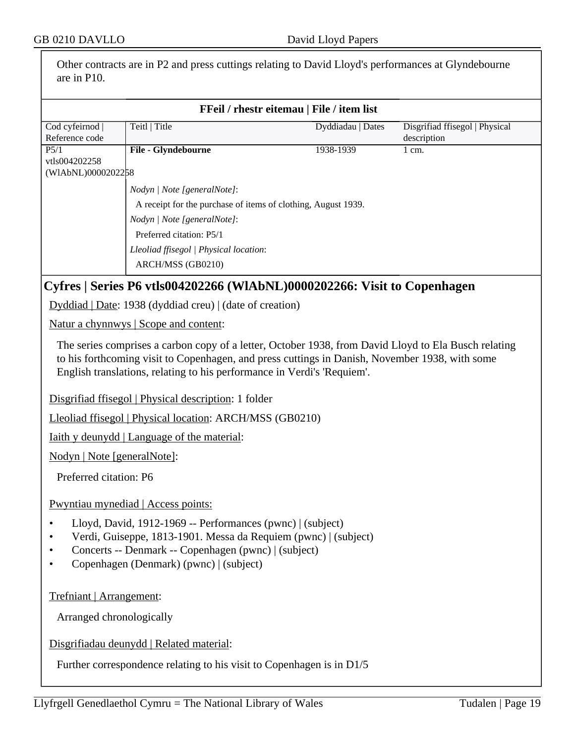Other contracts are in P2 and press cuttings relating to David Lloyd's performances at Glyndebourne are in P10.

|                                     |                                                                                                                                                                                                                                                                                   | FFeil / rhestr eitemau   File / item list |                                               |
|-------------------------------------|-----------------------------------------------------------------------------------------------------------------------------------------------------------------------------------------------------------------------------------------------------------------------------------|-------------------------------------------|-----------------------------------------------|
| Cod cyfeirnod<br>Reference code     | Teitl   Title                                                                                                                                                                                                                                                                     | Dyddiadau   Dates                         | Disgrifiad ffisegol   Physical<br>description |
| P5/1                                | File - Glyndebourne                                                                                                                                                                                                                                                               | 1938-1939                                 | 1 cm.                                         |
| vtls004202258<br>(WIAbNL)0000202258 |                                                                                                                                                                                                                                                                                   |                                           |                                               |
|                                     | Nodyn   Note [generalNote]:                                                                                                                                                                                                                                                       |                                           |                                               |
|                                     | A receipt for the purchase of items of clothing, August 1939.                                                                                                                                                                                                                     |                                           |                                               |
|                                     | Nodyn   Note [generalNote]:                                                                                                                                                                                                                                                       |                                           |                                               |
|                                     | Preferred citation: P5/1                                                                                                                                                                                                                                                          |                                           |                                               |
|                                     | Lleoliad ffisegol   Physical location:                                                                                                                                                                                                                                            |                                           |                                               |
|                                     | ARCH/MSS (GB0210)                                                                                                                                                                                                                                                                 |                                           |                                               |
|                                     | Cyfres   Series P6 vtls004202266 (WlAbNL)0000202266: Visit to Copenhagen                                                                                                                                                                                                          |                                           |                                               |
|                                     | Dyddiad   Date: 1938 (dyddiad creu)   (date of creation)                                                                                                                                                                                                                          |                                           |                                               |
|                                     | Natur a chynnwys   Scope and content:                                                                                                                                                                                                                                             |                                           |                                               |
|                                     | The series comprises a carbon copy of a letter, October 1938, from David Lloyd to Ela Busch relating<br>to his forthcoming visit to Copenhagen, and press cuttings in Danish, November 1938, with some<br>English translations, relating to his performance in Verdi's 'Requiem'. |                                           |                                               |
|                                     | Disgrifiad ffisegol   Physical description: 1 folder                                                                                                                                                                                                                              |                                           |                                               |
|                                     | Lleoliad ffisegol   Physical location: ARCH/MSS (GB0210)                                                                                                                                                                                                                          |                                           |                                               |
|                                     | <u>Iaith y deunydd</u>   Language of the material:                                                                                                                                                                                                                                |                                           |                                               |
| Nodyn   Note [generalNote]:         |                                                                                                                                                                                                                                                                                   |                                           |                                               |
| Preferred citation: P6              |                                                                                                                                                                                                                                                                                   |                                           |                                               |
|                                     |                                                                                                                                                                                                                                                                                   |                                           |                                               |
|                                     | Pwyntiau mynediad   Access points:                                                                                                                                                                                                                                                |                                           |                                               |
| $\bullet$<br>$\bullet$<br>$\bullet$ | Lloyd, David, 1912-1969 -- Performances (pwnc)   (subject)<br>Verdi, Guiseppe, 1813-1901. Messa da Requiem (pwnc)   (subject)<br>Concerts -- Denmark -- Copenhagen (pwnc)   (subject)<br>Copenhagen (Denmark) (pwnc)   (subject)                                                  |                                           |                                               |
|                                     |                                                                                                                                                                                                                                                                                   |                                           |                                               |
| Trefniant   Arrangement:            |                                                                                                                                                                                                                                                                                   |                                           |                                               |

Disgrifiadau deunydd | Related material:

Further correspondence relating to his visit to Copenhagen is in D1/5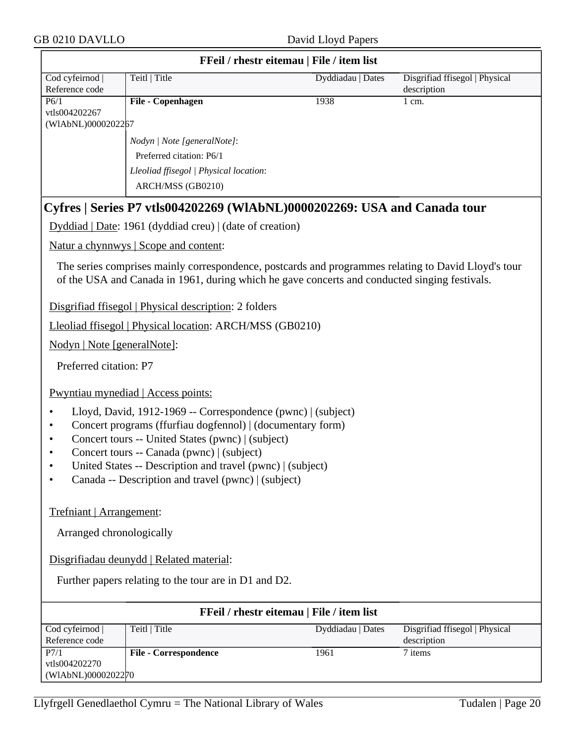|                                                          | FFeil / rhestr eitemau   File / item list                                                                                                                                                                                                                                                                                                          |                   |                                               |  |
|----------------------------------------------------------|----------------------------------------------------------------------------------------------------------------------------------------------------------------------------------------------------------------------------------------------------------------------------------------------------------------------------------------------------|-------------------|-----------------------------------------------|--|
| Cod cyfeirnod<br>Reference code                          | Teitl   Title                                                                                                                                                                                                                                                                                                                                      | Dyddiadau   Dates | Disgrifiad ffisegol   Physical<br>description |  |
| P6/1<br>vtls004202267<br>(WIAbNL)0000202267              | File - Copenhagen                                                                                                                                                                                                                                                                                                                                  | 1938              | 1 cm.                                         |  |
|                                                          | Nodyn   Note [generalNote]:<br>Preferred citation: P6/1<br>Lleoliad ffisegol   Physical location:<br>ARCH/MSS (GB0210)                                                                                                                                                                                                                             |                   |                                               |  |
|                                                          | Cyfres   Series P7 vtls004202269 (WIAbNL)0000202269: USA and Canada tour                                                                                                                                                                                                                                                                           |                   |                                               |  |
|                                                          | Dyddiad   Date: 1961 (dyddiad creu)   (date of creation)                                                                                                                                                                                                                                                                                           |                   |                                               |  |
|                                                          | Natur a chynnwys   Scope and content:                                                                                                                                                                                                                                                                                                              |                   |                                               |  |
|                                                          | The series comprises mainly correspondence, postcards and programmes relating to David Lloyd's tour<br>of the USA and Canada in 1961, during which he gave concerts and conducted singing festivals.                                                                                                                                               |                   |                                               |  |
|                                                          | Disgrifiad ffisegol   Physical description: 2 folders                                                                                                                                                                                                                                                                                              |                   |                                               |  |
|                                                          | Lleoliad ffisegol   Physical location: ARCH/MSS (GB0210)                                                                                                                                                                                                                                                                                           |                   |                                               |  |
| Nodyn   Note [generalNote]:                              |                                                                                                                                                                                                                                                                                                                                                    |                   |                                               |  |
| Preferred citation: P7                                   |                                                                                                                                                                                                                                                                                                                                                    |                   |                                               |  |
|                                                          | Pwyntiau mynediad   Access points:                                                                                                                                                                                                                                                                                                                 |                   |                                               |  |
| $\bullet$<br>٠<br>٠<br>$\bullet$                         | Lloyd, David, 1912-1969 -- Correspondence (pwnc)   (subject)<br>Concert programs (ffurfiau dogfennol)   (documentary form)<br>Concert tours -- United States (pwnc)   (subject)<br>Concert tours -- Canada (pwnc)   (subject)<br>United States -- Description and travel (pwnc)   (subject)<br>Canada -- Description and travel (pwnc)   (subject) |                   |                                               |  |
| Trefniant   Arrangement:                                 |                                                                                                                                                                                                                                                                                                                                                    |                   |                                               |  |
|                                                          | Arranged chronologically                                                                                                                                                                                                                                                                                                                           |                   |                                               |  |
|                                                          | Disgrifiadau deunydd   Related material:                                                                                                                                                                                                                                                                                                           |                   |                                               |  |
|                                                          | Further papers relating to the tour are in D1 and D2.                                                                                                                                                                                                                                                                                              |                   |                                               |  |
|                                                          | FFeil / rhestr eitemau   File / item list                                                                                                                                                                                                                                                                                                          |                   |                                               |  |
| Cod cyfeirnod<br>Reference code                          | Teitl   Title                                                                                                                                                                                                                                                                                                                                      | Dyddiadau   Dates | Disgrifiad ffisegol   Physical<br>description |  |
| $\overline{P7/1}$<br>vtls004202270<br>(WIAbNL)0000202270 | <b>File - Correspondence</b>                                                                                                                                                                                                                                                                                                                       | 1961              | 7 items                                       |  |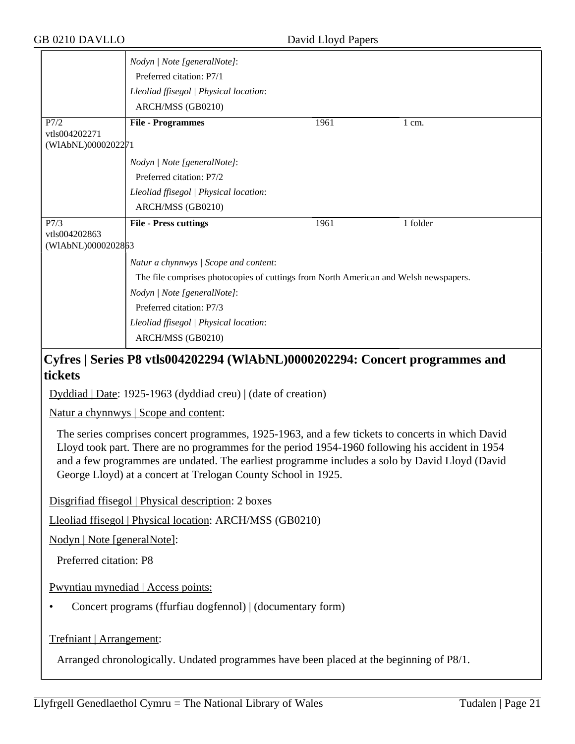|                    | Nodyn   Note [generalNote]:<br>Preferred citation: P7/1                              |      |          |  |
|--------------------|--------------------------------------------------------------------------------------|------|----------|--|
|                    | Lleoliad ffisegol   Physical location:                                               |      |          |  |
|                    | ARCH/MSS (GB0210)                                                                    |      |          |  |
| P7/2               | <b>File - Programmes</b>                                                             | 1961 | 1 cm.    |  |
| vtls004202271      |                                                                                      |      |          |  |
| (WIAbNL)0000202271 |                                                                                      |      |          |  |
|                    | Nodyn   Note [generalNote]:                                                          |      |          |  |
|                    | Preferred citation: P7/2                                                             |      |          |  |
|                    | Lleoliad ffisegol   Physical location:                                               |      |          |  |
|                    | ARCH/MSS (GB0210)                                                                    |      |          |  |
| P7/3               | <b>File - Press cuttings</b>                                                         | 1961 | 1 folder |  |
| vtls004202863      |                                                                                      |      |          |  |
| (WIAbNL)0000202863 |                                                                                      |      |          |  |
|                    | Natur a chynnwys / Scope and content:                                                |      |          |  |
|                    | The file comprises photocopies of cuttings from North American and Welsh newspapers. |      |          |  |
|                    | Nodyn   Note [generalNote]:                                                          |      |          |  |
|                    | Preferred citation: P7/3                                                             |      |          |  |
|                    | Lleoliad ffisegol   Physical location:                                               |      |          |  |
|                    | ARCH/MSS (GB0210)                                                                    |      |          |  |
|                    |                                                                                      |      |          |  |

## **Cyfres | Series P8 vtls004202294 (WlAbNL)0000202294: Concert programmes and tickets**

Dyddiad | Date: 1925-1963 (dyddiad creu) | (date of creation)

Natur a chynnwys | Scope and content:

The series comprises concert programmes, 1925-1963, and a few tickets to concerts in which David Lloyd took part. There are no programmes for the period 1954-1960 following his accident in 1954 and a few programmes are undated. The earliest programme includes a solo by David Lloyd (David George Lloyd) at a concert at Trelogan County School in 1925.

Disgrifiad ffisegol | Physical description: 2 boxes

Lleoliad ffisegol | Physical location: ARCH/MSS (GB0210)

Nodyn | Note [generalNote]:

Preferred citation: P8

Pwyntiau mynediad | Access points:

• Concert programs (ffurfiau dogfennol) | (documentary form)

Trefniant | Arrangement:

Arranged chronologically. Undated programmes have been placed at the beginning of P8/1.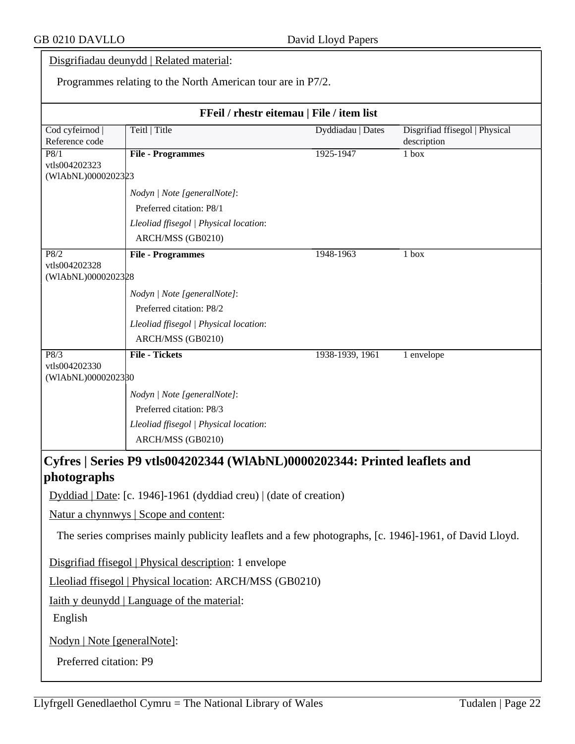## Disgrifiadau deunydd | Related material:

Programmes relating to the North American tour are in P7/2.

| FFeil / rhestr eitemau   File / item list |                                                                                                       |                   |                                               |  |
|-------------------------------------------|-------------------------------------------------------------------------------------------------------|-------------------|-----------------------------------------------|--|
| Cod cyfeirnod<br>Reference code           | Teitl   Title                                                                                         | Dyddiadau   Dates | Disgrifiad ffisegol   Physical<br>description |  |
| P8/1                                      | <b>File - Programmes</b>                                                                              | 1925-1947         | 1 box                                         |  |
| vtls004202323<br>(WIAbNL)0000202323       |                                                                                                       |                   |                                               |  |
|                                           | Nodyn   Note [generalNote]:                                                                           |                   |                                               |  |
|                                           | Preferred citation: P8/1                                                                              |                   |                                               |  |
|                                           | Lleoliad ffisegol   Physical location:                                                                |                   |                                               |  |
|                                           | ARCH/MSS (GB0210)                                                                                     |                   |                                               |  |
| P8/2                                      | <b>File - Programmes</b>                                                                              | 1948-1963         | 1 box                                         |  |
| vtls004202328<br>(WIAbNL)0000202328       |                                                                                                       |                   |                                               |  |
|                                           |                                                                                                       |                   |                                               |  |
|                                           | Nodyn   Note [generalNote]:<br>Preferred citation: P8/2                                               |                   |                                               |  |
|                                           | Lleoliad ffisegol   Physical location:                                                                |                   |                                               |  |
|                                           | ARCH/MSS (GB0210)                                                                                     |                   |                                               |  |
| $\overline{P8/3}$                         | <b>File - Tickets</b>                                                                                 | 1938-1939, 1961   | 1 envelope                                    |  |
| vtls004202330                             |                                                                                                       |                   |                                               |  |
| (WIAbNL)0000202380                        |                                                                                                       |                   |                                               |  |
|                                           | Nodyn   Note [generalNote]:                                                                           |                   |                                               |  |
|                                           | Preferred citation: P8/3                                                                              |                   |                                               |  |
|                                           | Lleoliad ffisegol   Physical location:                                                                |                   |                                               |  |
|                                           | ARCH/MSS (GB0210)                                                                                     |                   |                                               |  |
|                                           | Cyfres   Series P9 vtls004202344 (WIAbNL)0000202344: Printed leaflets and                             |                   |                                               |  |
| photographs                               |                                                                                                       |                   |                                               |  |
|                                           | Dyddiad   Date: [c. 1946]-1961 (dyddiad creu)   (date of creation)                                    |                   |                                               |  |
|                                           | Natur a chynnwys   Scope and content:                                                                 |                   |                                               |  |
|                                           | The series comprises mainly publicity leaflets and a few photographs, [c. 1946]-1961, of David Lloyd. |                   |                                               |  |
|                                           |                                                                                                       |                   |                                               |  |
|                                           | Disgrifiad ffisegol   Physical description: 1 envelope                                                |                   |                                               |  |
|                                           | Lleoliad ffisegol   Physical location: ARCH/MSS (GB0210)                                              |                   |                                               |  |
|                                           | <u>Iaith y deunydd   Language of the material:</u>                                                    |                   |                                               |  |
| English                                   |                                                                                                       |                   |                                               |  |
|                                           |                                                                                                       |                   |                                               |  |
| Nodyn   Note [generalNote]:               |                                                                                                       |                   |                                               |  |
| Preferred citation: P9                    |                                                                                                       |                   |                                               |  |
|                                           |                                                                                                       |                   |                                               |  |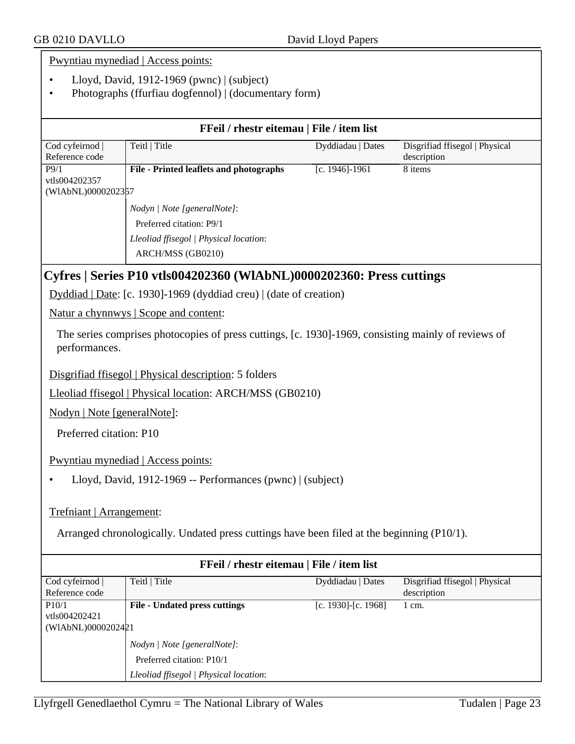Pwyntiau mynediad | Access points:

- Lloyd, David, 1912-1969 (pwnc) | (subject)
- Photographs (ffurfiau dogfennol) | (documentary form)

| FFeil / rhestr eitemau   File / item list                                                                            |                                                                                            |                    |                                               |  |  |
|----------------------------------------------------------------------------------------------------------------------|--------------------------------------------------------------------------------------------|--------------------|-----------------------------------------------|--|--|
| Cod cyfeirnod  <br>Reference code                                                                                    | Teitl   Title                                                                              | Dyddiadau   Dates  | Disgrifiad ffisegol   Physical<br>description |  |  |
| P9/1<br>vtls004202357<br>(WIAbNL)0000202357                                                                          | <b>File - Printed leaflets and photographs</b>                                             | $[c. 1946] - 1961$ | 8 items                                       |  |  |
|                                                                                                                      | Nodyn   Note [generalNote]:                                                                |                    |                                               |  |  |
|                                                                                                                      | Preferred citation: P9/1                                                                   |                    |                                               |  |  |
|                                                                                                                      | Lleoliad ffisegol   Physical location:                                                     |                    |                                               |  |  |
|                                                                                                                      | ARCH/MSS (GB0210)                                                                          |                    |                                               |  |  |
|                                                                                                                      | Cyfres   Series P10 vtls004202360 (WIAbNL)0000202360: Press cuttings                       |                    |                                               |  |  |
|                                                                                                                      | Dyddiad   Date: [c. 1930]-1969 (dyddiad creu)   (date of creation)                         |                    |                                               |  |  |
|                                                                                                                      | Natur a chynnwys   Scope and content:                                                      |                    |                                               |  |  |
| The series comprises photocopies of press cuttings, [c. 1930]-1969, consisting mainly of reviews of<br>performances. |                                                                                            |                    |                                               |  |  |
|                                                                                                                      | Disgrifiad ffisegol   Physical description: 5 folders                                      |                    |                                               |  |  |
|                                                                                                                      | Lleoliad ffisegol   Physical location: ARCH/MSS (GB0210)                                   |                    |                                               |  |  |
| Nodyn   Note [generalNote]:                                                                                          |                                                                                            |                    |                                               |  |  |
|                                                                                                                      | Preferred citation: P10                                                                    |                    |                                               |  |  |
|                                                                                                                      | Pwyntiau mynediad   Access points:                                                         |                    |                                               |  |  |
|                                                                                                                      | Lloyd, David, 1912-1969 -- Performances (pwnc)   (subject)                                 |                    |                                               |  |  |
| Trefniant   Arrangement:                                                                                             |                                                                                            |                    |                                               |  |  |
|                                                                                                                      | Arranged chronologically. Undated press cuttings have been filed at the beginning (P10/1). |                    |                                               |  |  |

| FFeil / rhestr eitemau   File / item list |                                        |                     |                                |  |
|-------------------------------------------|----------------------------------------|---------------------|--------------------------------|--|
| Cod cyfeirnod                             | Teitl   Title                          | Dyddiadau   Dates   | Disgrifiad ffisegol   Physical |  |
| Reference code                            |                                        |                     | description                    |  |
| P10/1                                     | <b>File - Undated press cuttings</b>   | [c. 1930]-[c. 1968] | 1 cm.                          |  |
| vtls004202421                             |                                        |                     |                                |  |
| (WIAbNL)0000202421                        |                                        |                     |                                |  |
|                                           | Nodyn   Note [generalNote]:            |                     |                                |  |
|                                           | Preferred citation: P10/1              |                     |                                |  |
|                                           | Lleoliad ffisegol   Physical location: |                     |                                |  |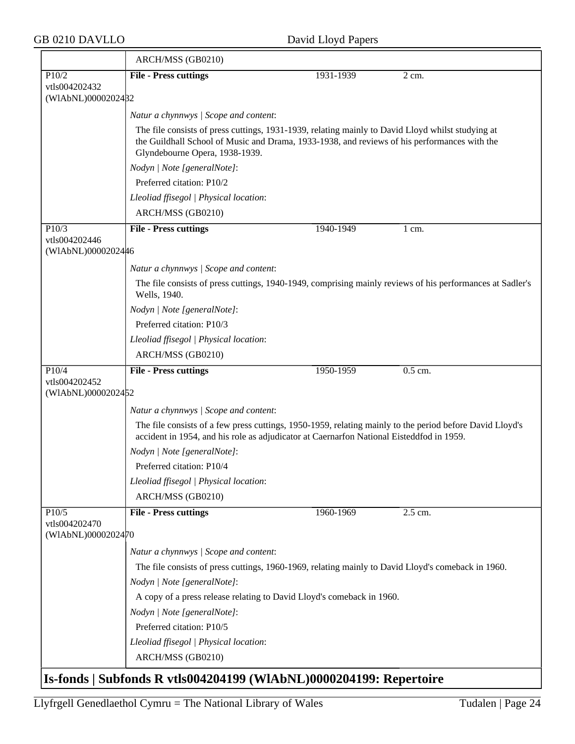|                                     | ARCH/MSS (GB0210)                                                                                                                                                                                                                   |           |                  |
|-------------------------------------|-------------------------------------------------------------------------------------------------------------------------------------------------------------------------------------------------------------------------------------|-----------|------------------|
| P10/2                               | <b>File - Press cuttings</b>                                                                                                                                                                                                        | 1931-1939 | 2 cm.            |
| vtls004202432                       |                                                                                                                                                                                                                                     |           |                  |
| (WIAbNL)0000202482                  |                                                                                                                                                                                                                                     |           |                  |
|                                     | Natur a chynnwys / Scope and content:                                                                                                                                                                                               |           |                  |
|                                     | The file consists of press cuttings, 1931-1939, relating mainly to David Lloyd whilst studying at<br>the Guildhall School of Music and Drama, 1933-1938, and reviews of his performances with the<br>Glyndebourne Opera, 1938-1939. |           |                  |
|                                     | Nodyn   Note [generalNote]:                                                                                                                                                                                                         |           |                  |
|                                     | Preferred citation: P10/2                                                                                                                                                                                                           |           |                  |
|                                     | Lleoliad ffisegol   Physical location:                                                                                                                                                                                              |           |                  |
|                                     | ARCH/MSS (GB0210)                                                                                                                                                                                                                   |           |                  |
| P10/3                               | <b>File - Press cuttings</b>                                                                                                                                                                                                        | 1940-1949 | $1 \text{ cm}$ . |
| vtls004202446<br>(WIAbNL)0000202446 |                                                                                                                                                                                                                                     |           |                  |
|                                     |                                                                                                                                                                                                                                     |           |                  |
|                                     | Natur a chynnwys / Scope and content:                                                                                                                                                                                               |           |                  |
|                                     | The file consists of press cuttings, 1940-1949, comprising mainly reviews of his performances at Sadler's<br>Wells, 1940.                                                                                                           |           |                  |
|                                     | Nodyn   Note [generalNote]:                                                                                                                                                                                                         |           |                  |
|                                     | Preferred citation: P10/3                                                                                                                                                                                                           |           |                  |
|                                     | Lleoliad ffisegol   Physical location:                                                                                                                                                                                              |           |                  |
|                                     | ARCH/MSS (GB0210)                                                                                                                                                                                                                   |           |                  |
| P10/4                               | <b>File - Press cuttings</b>                                                                                                                                                                                                        | 1950-1959 | $0.5$ cm.        |
| vtls004202452<br>(WIAbNL)0000202452 |                                                                                                                                                                                                                                     |           |                  |
|                                     | Natur a chynnwys / Scope and content:                                                                                                                                                                                               |           |                  |
|                                     | The file consists of a few press cuttings, 1950-1959, relating mainly to the period before David Lloyd's                                                                                                                            |           |                  |
|                                     | accident in 1954, and his role as adjudicator at Caernarfon National Eisteddfod in 1959.                                                                                                                                            |           |                  |
|                                     | Nodyn   Note [generalNote]:                                                                                                                                                                                                         |           |                  |
|                                     | Preferred citation: P10/4                                                                                                                                                                                                           |           |                  |
|                                     | Lleoliad ffisegol   Physical location:                                                                                                                                                                                              |           |                  |
|                                     | ARCH/MSS (GB0210)                                                                                                                                                                                                                   |           |                  |
| P10/5                               | <b>File - Press cuttings</b>                                                                                                                                                                                                        | 1960-1969 | 2.5 cm.          |
| vtls004202470<br>(WIAbNL)0000202470 |                                                                                                                                                                                                                                     |           |                  |
|                                     | Natur a chynnwys / Scope and content:                                                                                                                                                                                               |           |                  |
|                                     | The file consists of press cuttings, 1960-1969, relating mainly to David Lloyd's comeback in 1960.                                                                                                                                  |           |                  |
|                                     | Nodyn   Note [generalNote]:                                                                                                                                                                                                         |           |                  |
|                                     | A copy of a press release relating to David Lloyd's comeback in 1960.                                                                                                                                                               |           |                  |
|                                     | Nodyn   Note [generalNote]:                                                                                                                                                                                                         |           |                  |
|                                     | Preferred citation: P10/5                                                                                                                                                                                                           |           |                  |
|                                     | Lleoliad ffisegol   Physical location:                                                                                                                                                                                              |           |                  |
|                                     | ARCH/MSS (GB0210)                                                                                                                                                                                                                   |           |                  |
|                                     | Is-fonds   Subfonds R vtls004204199 (WIAbNL)0000204199: Repertoire                                                                                                                                                                  |           |                  |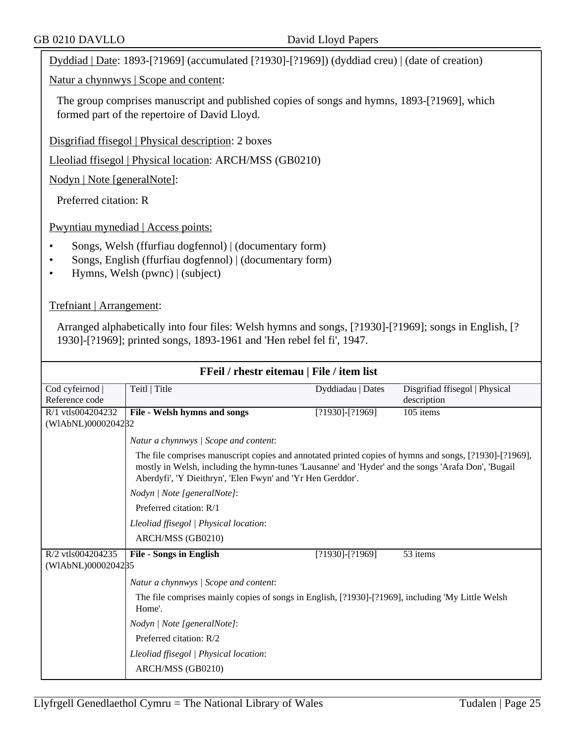Dyddiad | Date: 1893-[?1969] (accumulated [?1930]-[?1969]) (dyddiad creu) | (date of creation)

Natur a chynnwys | Scope and content:

The group comprises manuscript and published copies of songs and hymns, 1893-[?1969], which formed part of the repertoire of David Lloyd.

Disgrifiad ffisegol | Physical description: 2 boxes

Lleoliad ffisegol | Physical location: ARCH/MSS (GB0210)

Nodyn | Note [generalNote]:

Preferred citation: R

Pwyntiau mynediad | Access points:

- Songs, Welsh (ffurfiau dogfennol) | (documentary form)
- Songs, English (ffurfiau dogfennol) | (documentary form)
- Hymns, Welsh (pwnc) | (subject)

Trefniant | Arrangement:

Arranged alphabetically into four files: Welsh hymns and songs, [?1930]-[?1969]; songs in English, [? 1930]-[?1969]; printed songs, 1893-1961 and 'Hen rebel fel fi', 1947.

| FFeil / rhestr eitemau   File / item list |                                                                                                                                                                                                                                                                              |                       |                                |
|-------------------------------------------|------------------------------------------------------------------------------------------------------------------------------------------------------------------------------------------------------------------------------------------------------------------------------|-----------------------|--------------------------------|
| Cod cyfeirnod                             | Teitl   Title                                                                                                                                                                                                                                                                | Dyddiadau   Dates     | Disgrifiad ffisegol   Physical |
| Reference code                            |                                                                                                                                                                                                                                                                              |                       | description                    |
| R/1 vtls004204232                         | File - Welsh hymns and songs                                                                                                                                                                                                                                                 | $[?1930]$ - $[?1969]$ | 105 items                      |
| (WIAbNL)0000204282                        |                                                                                                                                                                                                                                                                              |                       |                                |
|                                           | Natur a chynnwys   Scope and content:                                                                                                                                                                                                                                        |                       |                                |
|                                           | The file comprises manuscript copies and annotated printed copies of hymns and songs, [?1930]-[?1969],<br>mostly in Welsh, including the hymn-tunes 'Lausanne' and 'Hyder' and the songs 'Arafa Don', 'Bugail<br>Aberdyfi', 'Y Dieithryn', 'Elen Fwyn' and 'Yr Hen Gerddor'. |                       |                                |
|                                           | Nodyn   Note [generalNote]:                                                                                                                                                                                                                                                  |                       |                                |
|                                           | Preferred citation: R/1                                                                                                                                                                                                                                                      |                       |                                |
|                                           | Lleoliad ffisegol   Physical location:                                                                                                                                                                                                                                       |                       |                                |
|                                           | ARCH/MSS (GB0210)                                                                                                                                                                                                                                                            |                       |                                |
| R/2 vtls004204235                         | <b>File - Songs in English</b>                                                                                                                                                                                                                                               | $[?1930]$ - $[?1969]$ | 53 items                       |
| (WIAbNL)0000204285                        |                                                                                                                                                                                                                                                                              |                       |                                |
|                                           | Natur a chynnwys / Scope and content:                                                                                                                                                                                                                                        |                       |                                |
|                                           | The file comprises mainly copies of songs in English, [?1930]-[?1969], including 'My Little Welsh<br>Home'.                                                                                                                                                                  |                       |                                |
|                                           | Nodyn   Note [generalNote]:                                                                                                                                                                                                                                                  |                       |                                |
|                                           | Preferred citation: R/2                                                                                                                                                                                                                                                      |                       |                                |
|                                           | Lleoliad ffisegol   Physical location:                                                                                                                                                                                                                                       |                       |                                |
|                                           | ARCH/MSS (GB0210)                                                                                                                                                                                                                                                            |                       |                                |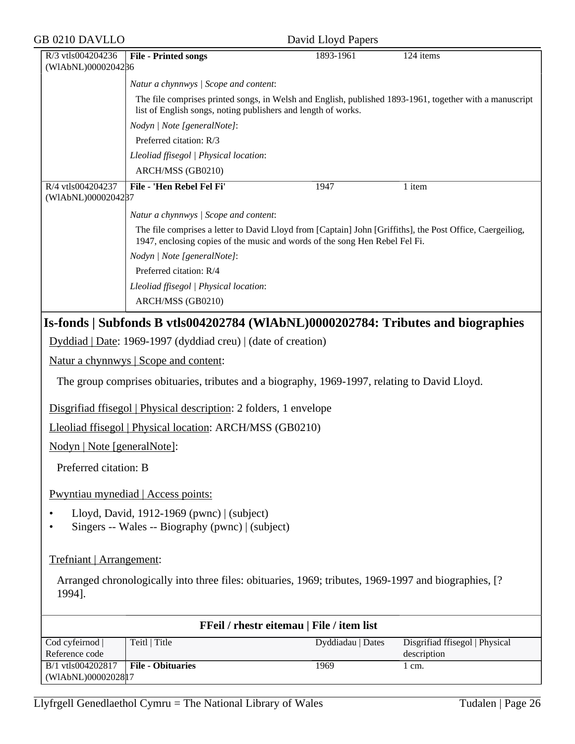| <b>GB 0210 DAVLLO</b>                                                                                                      |                                                                                                                                                                          | David Lloyd Papers                        |                                               |  |
|----------------------------------------------------------------------------------------------------------------------------|--------------------------------------------------------------------------------------------------------------------------------------------------------------------------|-------------------------------------------|-----------------------------------------------|--|
| R/3 vtls004204236<br>(WIAbNL)0000204286                                                                                    | <b>File - Printed songs</b>                                                                                                                                              | 1893-1961                                 | 124 items                                     |  |
|                                                                                                                            | Natur a chynnwys / Scope and content:                                                                                                                                    |                                           |                                               |  |
|                                                                                                                            | The file comprises printed songs, in Welsh and English, published 1893-1961, together with a manuscript<br>list of English songs, noting publishers and length of works. |                                           |                                               |  |
|                                                                                                                            | Nodyn   Note [generalNote]:                                                                                                                                              |                                           |                                               |  |
|                                                                                                                            | Preferred citation: R/3                                                                                                                                                  |                                           |                                               |  |
|                                                                                                                            | Lleoliad ffisegol   Physical location:                                                                                                                                   |                                           |                                               |  |
|                                                                                                                            | ARCH/MSS (GB0210)                                                                                                                                                        |                                           |                                               |  |
| R/4 vtls004204237<br>(WIAbNL)0000204287                                                                                    | File - 'Hen Rebel Fel Fi'                                                                                                                                                | 1947                                      | 1 item                                        |  |
|                                                                                                                            | Natur a chynnwys / Scope and content:                                                                                                                                    |                                           |                                               |  |
|                                                                                                                            | The file comprises a letter to David Lloyd from [Captain] John [Griffiths], the Post Office, Caergeiliog,                                                                |                                           |                                               |  |
|                                                                                                                            | 1947, enclosing copies of the music and words of the song Hen Rebel Fel Fi.                                                                                              |                                           |                                               |  |
|                                                                                                                            | Nodyn   Note [generalNote]:                                                                                                                                              |                                           |                                               |  |
|                                                                                                                            | Preferred citation: R/4                                                                                                                                                  |                                           |                                               |  |
|                                                                                                                            | Lleoliad ffisegol   Physical location:                                                                                                                                   |                                           |                                               |  |
|                                                                                                                            | ARCH/MSS (GB0210)                                                                                                                                                        |                                           |                                               |  |
|                                                                                                                            | Is-fonds   Subfonds B vtls004202784 (WIAbNL)0000202784: Tributes and biographies                                                                                         |                                           |                                               |  |
|                                                                                                                            | Dyddiad   Date: 1969-1997 (dyddiad creu)   (date of creation)                                                                                                            |                                           |                                               |  |
|                                                                                                                            | <u>Natur a chynnwys</u>   Scope and content:                                                                                                                             |                                           |                                               |  |
|                                                                                                                            | The group comprises obituaries, tributes and a biography, 1969-1997, relating to David Lloyd.                                                                            |                                           |                                               |  |
|                                                                                                                            | Disgrifiad ffisegol   Physical description: 2 folders, 1 envelope                                                                                                        |                                           |                                               |  |
|                                                                                                                            | Lleoliad ffisegol   Physical location: ARCH/MSS (GB0210)                                                                                                                 |                                           |                                               |  |
| Nodyn   Note [generalNote]:                                                                                                |                                                                                                                                                                          |                                           |                                               |  |
| Preferred citation: B                                                                                                      |                                                                                                                                                                          |                                           |                                               |  |
|                                                                                                                            | Pwyntiau mynediad   Access points:                                                                                                                                       |                                           |                                               |  |
| Lloyd, David, 1912-1969 (pwnc) $ $ (subject)<br>$\bullet$<br>Singers -- Wales -- Biography (pwnc)   (subject)<br>$\bullet$ |                                                                                                                                                                          |                                           |                                               |  |
| Trefniant   Arrangement:                                                                                                   |                                                                                                                                                                          |                                           |                                               |  |
| 1994].                                                                                                                     | Arranged chronologically into three files: obituaries, 1969; tributes, 1969-1997 and biographies, [?                                                                     |                                           |                                               |  |
|                                                                                                                            |                                                                                                                                                                          | FFeil / rhestr eitemau   File / item list |                                               |  |
| Cod cyfeirnod<br>Reference code                                                                                            | Teitl   Title                                                                                                                                                            | Dyddiadau   Dates                         | Disgrifiad ffisegol   Physical<br>description |  |
| B/1 vtls004202817<br>(WIAbNL)0000202817                                                                                    | <b>File - Obituaries</b>                                                                                                                                                 | 1969                                      | $1$ cm.                                       |  |